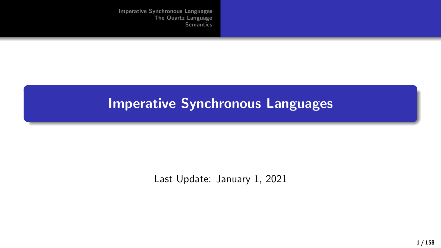### Imperative Synchronous Languages

Last Update: January 1, 2021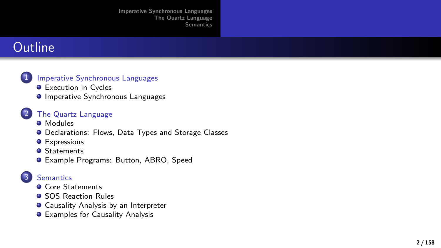## **Outline**



**[Imperative Synchronous Languages](#page-2-0)** 

**•** [Execution in Cycles](#page-2-0)

[The Quartz Language](#page-15-0)

**O** [Imperative Synchronous Languages](#page-13-0)

- [Modules](#page-16-0)
- **O** [Declarations: Flows, Data Types and Storage Classes](#page-17-0)
- **O** [Expressions](#page-26-0)
- **O** [Statements](#page-29-0)
- [Example Programs: Button, ABRO, Speed](#page-61-0)

#### **[Semantics](#page-73-0)**

- **O** [Core Statements](#page-73-0)
- **[SOS Reaction Rules](#page-103-0)**
- **O** [Causality Analysis by an Interpreter](#page-125-0)
- **•** [Examples for Causality Analysis](#page-134-0)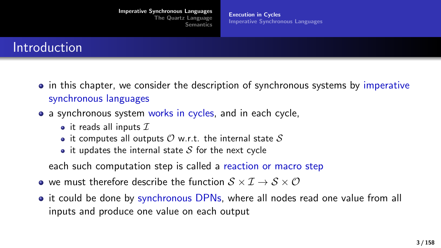# <span id="page-2-0"></span>Introduction

- in this chapter, we consider the description of synchronous systems by imperative synchronous languages
- a synchronous system works in cycles, and in each cycle,
	- it reads all inputs  $I$
	- it computes all outputs  $\mathcal O$  w.r.t. the internal state  $\mathcal S$
	- it updates the internal state  $S$  for the next cycle

each such computation step is called a reaction or macro step

- $\bullet$  we must therefore describe the function  $S \times I \to S \times O$
- it could be done by synchronous DPNs, where all nodes read one value from all inputs and produce one value on each output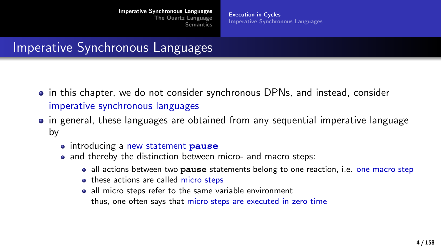[Execution in Cycles](#page-2-0) [Imperative Synchronous Languages](#page-13-0)

### Imperative Synchronous Languages

- in this chapter, we do not consider synchronous DPNs, and instead, consider imperative synchronous languages
- in general, these languages are obtained from any sequential imperative language by
	- introducing a new statement **pause**
	- and thereby the distinction between micro- and macro steps:
		- all actions between two **pause** statements belong to one reaction, i.e. one macro step
		- these actions are called micro steps
		- all micro steps refer to the same variable environment thus, one often says that micro steps are executed in zero time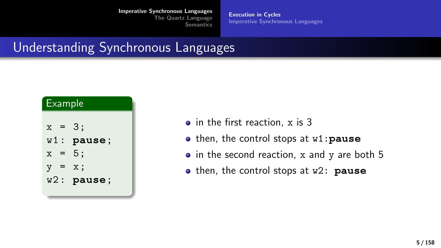[Execution in Cycles](#page-2-0) [Imperative Synchronous Languages](#page-13-0)

# Understanding Synchronous Languages

| <u>Ex</u> ample |                |  |
|-----------------|----------------|--|
|                 |                |  |
| $x = 3;$        |                |  |
|                 | $w1:$ pause;   |  |
| $x =$           | 5:             |  |
| $V =$           | $\mathbf{x}$ : |  |
|                 | $w2:$ pause;   |  |
|                 |                |  |

- in the first reaction, x is 3
- then, the control stops at w1:**pause**
- $\bullet$  in the second reaction, x and y are both 5
- **o** then, the control stops at w2: **pause**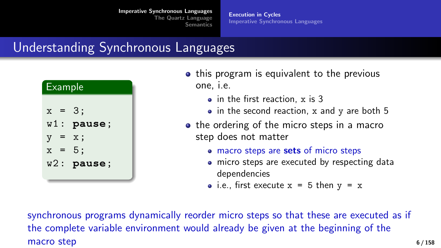[Execution in Cycles](#page-2-0) [Imperative Synchronous Languages](#page-13-0)

# Understanding Synchronous Languages

| <b>Example</b> |              |  |
|----------------|--------------|--|
| $x = 3;$       |              |  |
|                | $w1:$ pause; |  |
| $y =$          | х;           |  |
| $x =$          | 5:           |  |
|                | $w2:$ pause; |  |
|                |              |  |

- this program is equivalent to the previous one, i.e.
	- in the first reaction, x is 3
	- $\bullet$  in the second reaction, x and y are both 5
- the ordering of the micro steps in a macro step does not matter
	- macro steps are sets of micro steps
	- micro steps are executed by respecting data dependencies
	- i.e., first execute  $x = 5$  then  $y = x$

synchronous programs dynamically reorder micro steps so that these are executed as if the complete variable environment would already be given at the beginning of the macro step 6/158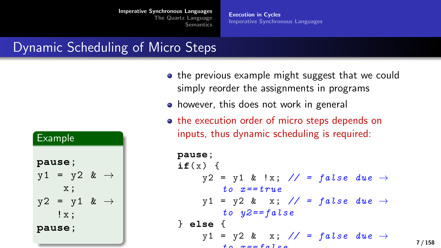[Execution in Cycles](#page-2-0) [Imperative Synchronous Languages](#page-13-0)

### Dynamic Scheduling of Micro Steps

| <u>Ex</u> ample |     |                           |               |
|-----------------|-----|---------------------------|---------------|
| pause;          |     |                           |               |
|                 |     | $y1 = y2$ &               | $\rightarrow$ |
|                 |     | x:                        |               |
|                 |     | $y2 = y1$ & $\rightarrow$ |               |
|                 | !x; |                           |               |
| pause;          |     |                           |               |
|                 |     |                           |               |

- the previous example might suggest that we could simply reorder the assignments in programs
- however, this does not work in general
- the execution order of micro steps depends on inputs, thus dynamic scheduling is required:

```
pause;
i f(x) {
      y2 = y1 & !x; // = false due \rightarrowt \circ x = t \cdot r \cdot u \cdot e\forall 1 = \forall 2 \& x; // = false due \rightarrowto y2 = false} else {
      y1 = y2 \& x; // = false due \rightarrow\pm \alpha \alpha \pm \alpha \alpha \alpha
```
7 / 158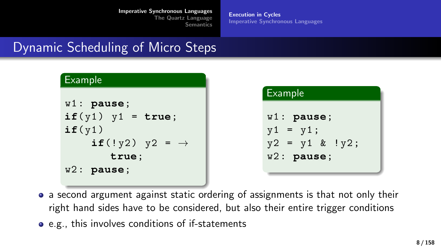[Execution in Cycles](#page-2-0) [Imperative Synchronous Languages](#page-13-0)

# Dynamic Scheduling of Micro Steps

| Example                     |
|-----------------------------|
| $w1:$ pause;                |
| $if(y1)$ $y1 = true;$       |
| if(y1)                      |
| if (!y2) $y2 = \rightarrow$ |
| true;                       |
| $w2:$ pause;                |

```
Example
w1 : pause;
y1 = y1;y2 = y1 & !y2;
w2 : pause;
```
- a second argument against static ordering of assignments is that not only their right hand sides have to be considered, but also their entire trigger conditions
- e.g., this involves conditions of if-statements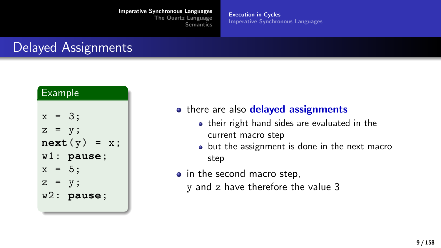[Execution in Cycles](#page-2-0) [Imperative Synchronous Languages](#page-13-0)

# Delayed Assignments

| <b>Example</b> |  |                   |
|----------------|--|-------------------|
|                |  |                   |
| $x = 3;$       |  |                   |
| $z = y;$       |  |                   |
|                |  | next(y)<br>$= x;$ |
|                |  | $w1:$ pause;      |
| $x = 5$ ;      |  |                   |
| $Z =$          |  | $V$ ;             |
|                |  | $w2:$ pause;      |
|                |  |                   |

- there are also delayed assignments
	- their right hand sides are evaluated in the current macro step
	- but the assignment is done in the next macro step
- in the second macro step,
	- y and z have therefore the value 3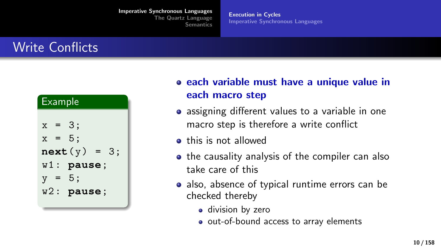[Execution in Cycles](#page-2-0) [Imperative Synchronous Languages](#page-13-0)

# Write Conflicts

| <b>Example</b>                                                                          |  |  |
|-----------------------------------------------------------------------------------------|--|--|
| $x = 3;$<br>$x = 5$ :<br>next(y)<br>$= 3:$<br>$w1:$ pause;<br>$y = 5$ ;<br>$w2:$ pause; |  |  |

each variable must have a unique value in each macro step

- assigning different values to a variable in one macro step is therefore a write conflict
- **•** this is not allowed
- the causality analysis of the compiler can also take care of this
- also, absence of typical runtime errors can be checked thereby
	- division by zero
	- out-of-bound access to array elements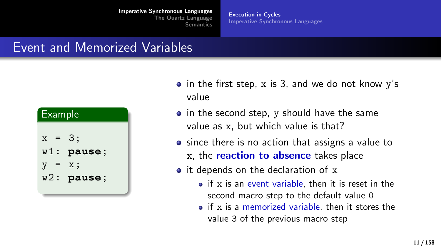[Execution in Cycles](#page-2-0) [Imperative Synchronous Languages](#page-13-0)

## Event and Memorized Variables

| <b>Example</b> |              |  |
|----------------|--------------|--|
| $x = 3;$       | $w1:$ pause; |  |
| V              | х;           |  |
| $=$            | $w2:$ pause; |  |

- $\bullet$  in the first step, x is 3, and we do not know y's value
- $\bullet$  in the second step, y should have the same value as x, but which value is that?
- since there is no action that assigns a value to
	- x, the reaction to absence takes place
- it depends on the declaration of x
	- if x is an event variable, then it is reset in the second macro step to the default value 0
	- $\bullet$  if x is a memorized variable, then it stores the value 3 of the previous macro step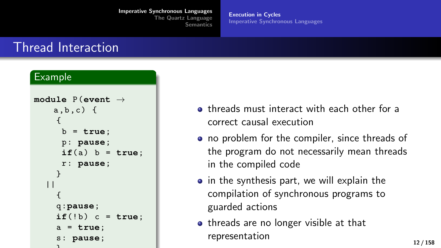[Execution in Cycles](#page-2-0) [Imperative Synchronous Languages](#page-13-0)

### Thread Interaction

#### Example

```
module P (event →
    a, b, c) {
     {
      b = true;
      p : pause;
      if(a) b = true;
      r : pause;
     }
   | \ |{
     q :pause;
     if('b) c = true;a = true;
     s : pause;
     \mathbf{a}
```
- **o** threads must interact with each other for a correct causal execution
- no problem for the compiler, since threads of the program do not necessarily mean threads in the compiled code
- $\bullet$  in the synthesis part, we will explain the compilation of synchronous programs to guarded actions
- threads are no longer visible at that representation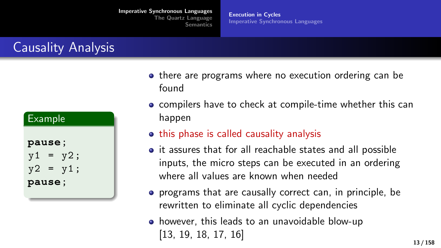[Execution in Cycles](#page-2-0) [Imperative Synchronous Languages](#page-13-0)

# Causality Analysis

| Example |  |            |  |
|---------|--|------------|--|
|         |  |            |  |
| pause;  |  |            |  |
|         |  | $y1 = y2;$ |  |
|         |  | $y2 = y1;$ |  |
| pause;  |  |            |  |
|         |  |            |  |

- there are programs where no execution ordering can be found
- **compilers have to check at compile-time whether this can** happen
- **•** this phase is called causality analysis
- it assures that for all reachable states and all possible inputs, the micro steps can be executed in an ordering where all values are known when needed
- **•** programs that are causally correct can, in principle, be rewritten to eliminate all cyclic dependencies
- however, this leads to an unavoidable blow-up [\[13,](#page-156-0) [19,](#page-156-1) [18,](#page-156-2) [17,](#page-156-3) [16\]](#page-156-4)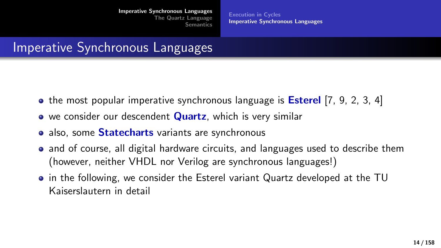[Execution in Cycles](#page-2-0) [Imperative Synchronous Languages](#page-13-0)

### <span id="page-13-0"></span>Imperative Synchronous Languages

- $\bullet$  the most popular imperative synchronous language is **Esterel** [\[7,](#page-156-5) [9,](#page-156-6) [2,](#page-156-7) [3,](#page-156-8) [4\]](#page-156-9)
- we consider our descendent **Quartz**, which is very similar
- also, some **Statecharts** variants are synchronous
- and of course, all digital hardware circuits, and languages used to describe them (however, neither VHDL nor Verilog are synchronous languages!)
- in the following, we consider the Esterel variant Quartz developed at the TU Kaiserslautern in detail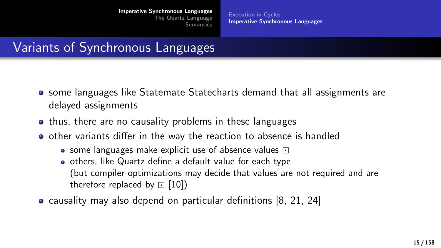[Execution in Cycles](#page-2-0) [Imperative Synchronous Languages](#page-13-0)

# Variants of Synchronous Languages

- some languages like Statemate Statecharts demand that all assignments are delayed assignments
- thus, there are no causality problems in these languages
- o other variants differ in the way the reaction to absence is handled
	- some languages make explicit use of absence values  $\Box$
	- others, like Quartz define a default value for each type (but compiler optimizations may decide that values are not required and are therefore replaced by  $\Box$  [\[10\]](#page-156-10))
- causality may also depend on particular definitions [\[8,](#page-156-11) [21,](#page-156-12) [24\]](#page-157-0)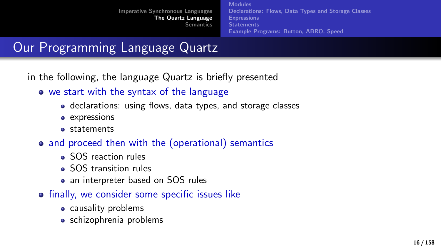[Modules](#page-16-0) [Declarations: Flows, Data Types and Storage Classes](#page-17-0) [Expressions](#page-26-0) **[Statements](#page-29-0)** [Example Programs: Button, ABRO, Speed](#page-61-0)

# <span id="page-15-0"></span>Our Programming Language Quartz

in the following, the language Quartz is briefly presented

- we start with the syntax of the language
	- declarations: using flows, data types, and storage classes
	- expressions
	- statements
- and proceed then with the (operational) semantics
	- SOS reaction rules
	- SOS transition rules
	- an interpreter based on SOS rules
- **•** finally, we consider some specific issues like
	- causality problems
	- schizophrenia problems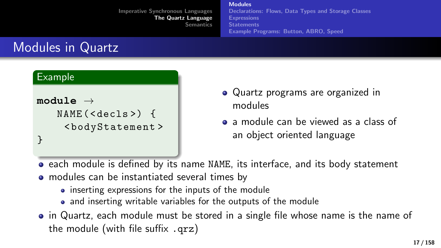[Modules](#page-16-0) [Declarations: Flows, Data Types and Storage Classes](#page-17-0) [Expressions](#page-26-0) **[Statements](#page-29-0)** [Example Programs: Button, ABRO, Speed](#page-61-0)

# <span id="page-16-0"></span>Modules in Quartz

Example

```
module →
   NAME ( < decls >) {
     < bodyStatement >
}
```
- Quartz programs are organized in modules
- a module can be viewed as a class of an object oriented language

each module is defined by its name NAME, its interface, and its body statement

- modules can be instantiated several times by
	- inserting expressions for the inputs of the module
	- and inserting writable variables for the outputs of the module
- in Quartz, each module must be stored in a single file whose name is the name of the module (with file suffix .qrz)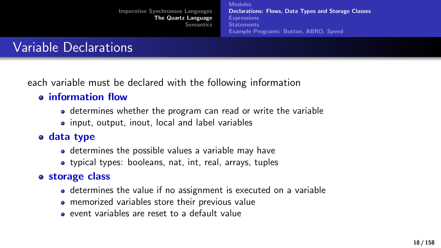[Modules](#page-16-0) [Declarations: Flows, Data Types and Storage Classes](#page-17-0) [Expressions](#page-26-0) **[Statements](#page-29-0)** [Example Programs: Button, ABRO, Speed](#page-61-0)

# <span id="page-17-0"></span>Variable Declarations

each variable must be declared with the following information

### information flow

- determines whether the program can read or write the variable
- input, output, inout, local and label variables

### data type

- determines the possible values a variable may have
- typical types: booleans, nat, int, real, arrays, tuples

### storage class

- determines the value if no assignment is executed on a variable
- memorized variables store their previous value
- event variables are reset to a default value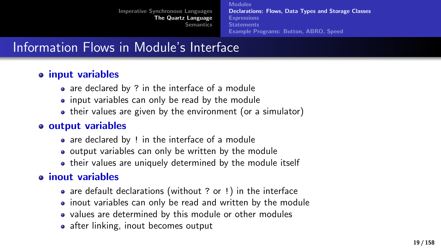[Modules](#page-16-0) [Declarations: Flows, Data Types and Storage Classes](#page-17-0) [Expressions](#page-26-0) **[Statements](#page-29-0)** [Example Programs: Button, ABRO, Speed](#page-61-0)

# Information Flows in Module's Interface

### input variables

- are declared by ? in the interface of a module
- input variables can only be read by the module
- their values are given by the environment (or a simulator)

### o output variables

- are declared by ! in the interface of a module
- output variables can only be written by the module
- their values are uniquely determined by the module itself

### inout variables

- are default declarations (without ? or !) in the interface
- inout variables can only be read and written by the module
- values are determined by this module or other modules
- after linking, inout becomes output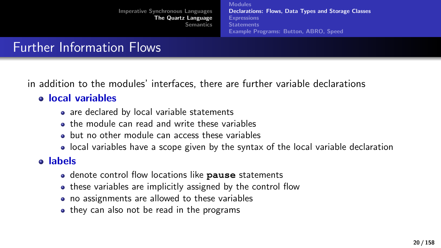[Modules](#page-16-0) [Declarations: Flows, Data Types and Storage Classes](#page-17-0) [Expressions](#page-26-0) **[Statements](#page-29-0)** [Example Programs: Button, ABRO, Speed](#page-61-0)

# Further Information Flows

in addition to the modules' interfaces, there are further variable declarations

#### local variables

- are declared by local variable statements
- **the module can read and write these variables**
- but no other module can access these variables
- local variables have a scope given by the syntax of the local variable declaration

### labels

- denote control flow locations like **pause** statements
- these variables are implicitly assigned by the control flow
- no assignments are allowed to these variables
- they can also not be read in the programs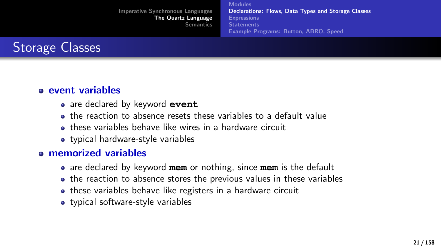[Modules](#page-16-0) [Declarations: Flows, Data Types and Storage Classes](#page-17-0) [Expressions](#page-26-0) **[Statements](#page-29-0)** [Example Programs: Button, ABRO, Speed](#page-61-0)



#### event variables

- are declared by keyword **event**
- the reaction to absence resets these variables to a default value
- these variables behave like wires in a hardware circuit
- typical hardware-style variables

#### memorized variables

- are declared by keyword **mem** or nothing, since **mem** is the default
- the reaction to absence stores the previous values in these variables
- these variables behave like registers in a hardware circuit
- typical software-style variables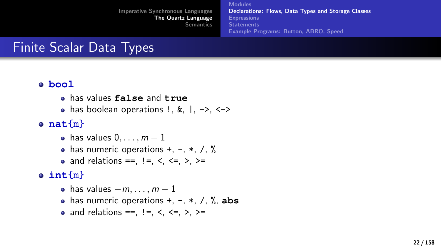[Modules](#page-16-0) [Declarations: Flows, Data Types and Storage Classes](#page-17-0) [Expressions](#page-26-0) **[Statements](#page-29-0)** [Example Programs: Button, ABRO, Speed](#page-61-0)

# Finite Scalar Data Types

#### **bool**

- has values **false** and **true**
- $\bullet$  has boolean operations !, &, |, ->, <->
- **nat**{m}
	- $\bullet$  has values  $0, \ldots, m-1$
	- $\bullet$  has numeric operations +, -,  $\ast$ , /, %
	- and relations ==,  $!=$ ,  $\lt$ ,  $\lt$ =,  $>$ ,  $>=$

### **int**{m}

- has values  $-m, \ldots, m-1$
- has numeric operations  $+$ ,  $-$ ,  $*$ ,  $/$ ,  $\%$ , abs
- and relations ==,  $!=, \le$ ,  $\lt =, \gt, \gt =$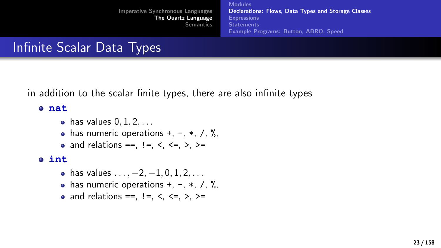[Imperative Synchronous Languages](#page-2-0) [The Quartz Language](#page-15-0) [Semantics](#page-73-0) [Modules](#page-16-0) [Declarations: Flows, Data Types and Storage Classes](#page-17-0) [Expressions](#page-26-0) **[Statements](#page-29-0)** [Example Programs: Button, ABRO, Speed](#page-61-0)

# Infinite Scalar Data Types

in addition to the scalar finite types, there are also infinite types

#### **nat**

- $\bullet$  has values  $0, 1, 2, \ldots$
- $\bullet$  has numeric operations +, -,  $\ast$ , /, %,
- and relations ==,  $!=$ ,  $\lt$ ,  $\lt$ =,  $>$ ,  $>=$

#### **int**

- has values  $\dots, -2, -1, 0, 1, 2, \dots$
- has numeric operations  $+, -, *, /, \%$ ,
- and relations ==,  $!=$ ,  $\lt$ ,  $\lt$ =,  $>$ ,  $>=$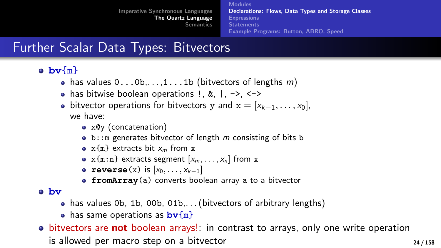**[Modules](#page-16-0)** [Declarations: Flows, Data Types and Storage Classes](#page-17-0) [Expressions](#page-26-0) **[Statements](#page-29-0)** [Example Programs: Button, ABRO, Speed](#page-61-0)

# Further Scalar Data Types: Bitvectors

### **bv**{m}

- has values  $0 \ldots 0b, \ldots 1 \ldots 1b$  (bitvectors of lengths m)
- $\bullet$  has bitwise boolean operations !, &,  $\vert$ , ->, <->
- bitvector operations for bitvectors y and  $x = [x_{k-1}, \ldots, x_0]$ , we have:
	- x@y (concatenation)
	- $\bullet$  b:: m generates bitvector of length m consisting of bits b
	- $x$ {m} extracts bit  $x_m$  from x
	- $x{m:n}$  extracts segment  $[x_m, \ldots, x_n]$  from x
	- **reverse** $(x)$  is  $[x_0, \ldots, x_{k-1}]$
	- **fromArray**(a) converts boolean array a to a bitvector

#### **bv**

- has values 0b, 1b, 00b, 01b,... (bitvectors of arbitrary lengths)
- has same operations as **bv**{m}
- **•** bitvectors are **not** boolean arrays!: in contrast to arrays, only one write operation is allowed per macro step on a bitvector **24/158** 24/158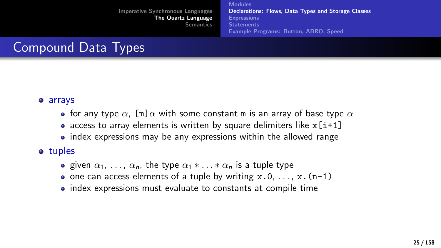[Modules](#page-16-0) [Declarations: Flows, Data Types and Storage Classes](#page-17-0) [Expressions](#page-26-0) **[Statements](#page-29-0)** [Example Programs: Button, ABRO, Speed](#page-61-0)

# Compound Data Types

#### arrays

- for any type  $\alpha$ , [m] $\alpha$  with some constant m is an array of base type  $\alpha$
- access to array elements is written by square delimiters like  $x[i+1]$
- index expressions may be any expressions within the allowed range

#### • tuples

- **e** given  $\alpha_1, \ldots, \alpha_n$ , the type  $\alpha_1 * \ldots * \alpha_n$  is a tuple type
- one can access elements of a tuple by writing  $x.0, ..., x.(n-1)$
- index expressions must evaluate to constants at compile time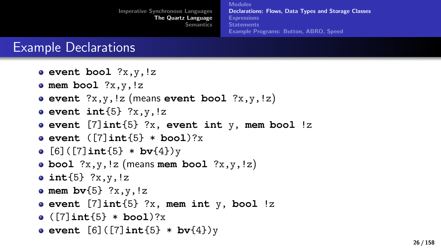### Example Declarations

- **event bool** ?x,y,!z
- **mem bool** ?x,y,!z
- **event** ?x,y,!z (means **event bool** ?x,y,!z)
- **event int** ${5}$  ?x, y, !z
- **event** [7]**int**{5} ?x, **event int** y, **mem bool** !z
- **event** ([7]**int**{5} \* **bool**)?x
- $\bullet$  [6]([7]int{5} \* bv{4})y
- **bool** ?x,y,!z (means **mem bool** ?x,y,!z)
- **int**{5} ?x,y,!z
- **mem bv** $\{5\}$  ?x, y, !z
- **event** [7]**int**{5} ?x, **mem int** y, **bool** !z
- ([7]**int**{5} \* **bool**)?x
- **event** [6]([7]**int**{5} \* **bv**{4})y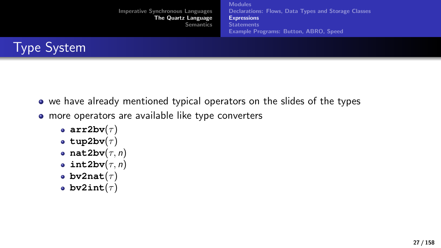

<span id="page-26-0"></span>

- we have already mentioned typical operators on the slides of the types
- more operators are available like type converters
	- **arr2bv** $(\tau)$
	- **tup2bv** $(\tau)$
	- $\bullet$  nat2bv $(\tau, n)$
	- $\bullet$  int2bv $(\tau, n)$
	- **•** bv2nat $(\tau)$
	- **bv2int** $(\tau)$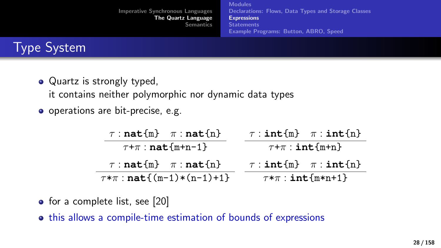[Imperative Synchronous Languages](#page-2-0) [The Quartz Language](#page-15-0) [Semantics](#page-73-0) [Modules](#page-16-0) [Declarations: Flows, Data Types and Storage Classes](#page-17-0) **[Expressions](#page-26-0) [Statements](#page-29-0)** [Example Programs: Button, ABRO, Speed](#page-61-0)



- Quartz is strongly typed, it contains neither polymorphic nor dynamic data types
- o operations are bit-precise, e.g.

| $\tau : \textbf{nat}\{\text{m}\}$ $\pi : \textbf{nat}\{\text{n}\}$ | $\tau : \texttt{int} \{m\}$ $\pi : \texttt{int} \{n\}$ |
|--------------------------------------------------------------------|--------------------------------------------------------|
| $\tau$ + $\pi$ : nat {m+n-1}                                       | $\tau$ + $\pi$ : int {m+n}                             |
| $\tau : \textbf{nat}\{\text{m}\}$ $\pi : \textbf{nat}\{\text{n}\}$ | $\tau : \texttt{int} \{m\}$ $\pi : \texttt{int} \{n\}$ |
| $\tau \ast \pi : \textbf{nat} \{ (m-1) * (n-1) + 1 \}$             | $\tau \ast \pi$ : int {m*n+1}                          |

- for a complete list, see [\[20\]](#page-156-13)
- this allows a compile-time estimation of bounds of expressions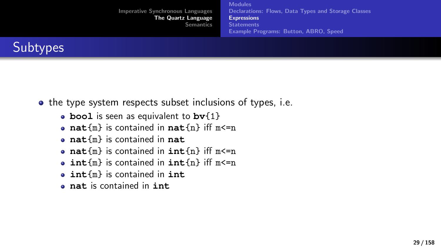| <b>Imperative Synchronous Languages</b><br>The Quartz Language<br><b>Semantics</b> | <b>Modules</b><br>Declarations: Flows, Data Types and Storage Classes<br><b>Expressions</b><br><b>Statements</b><br><b>Example Programs: Button, ABRO, Speed</b> |
|------------------------------------------------------------------------------------|------------------------------------------------------------------------------------------------------------------------------------------------------------------|
|                                                                                    |                                                                                                                                                                  |



- the type system respects subset inclusions of types, i.e.
	- **bool** is seen as equivalent to **bv**{1}
	- **nat**{m} is contained in **nat**{n} iff m<=n
	- **nat**{m} is contained in **nat**
	- **nat**{m} is contained in **int**{n} iff m<=n
	- **int**{m} is contained in **int**{n} iff m<=n
	- **int**{m} is contained in **int**
	- **nat** is contained in **int**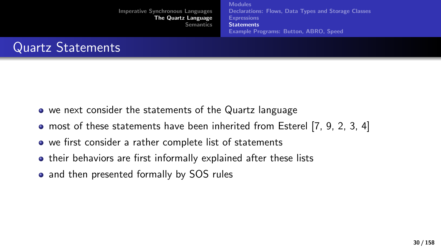<span id="page-29-0"></span>

- we next consider the statements of the Quartz language
- most of these statements have been inherited from Esterel [\[7,](#page-156-5) [9,](#page-156-6) [2,](#page-156-7) [3,](#page-156-8) [4\]](#page-156-9)
- we first consider a rather complete list of statements
- **•** their behaviors are first informally explained after these lists
- and then presented formally by SOS rules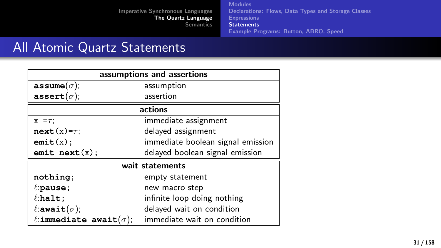[Modules](#page-16-0) [Declarations: Flows, Data Types and Storage Classes](#page-17-0) **[Expressions](#page-26-0) [Statements](#page-29-0)** [Example Programs: Button, ABRO, Speed](#page-61-0)

# All Atomic Quartz Statements

| assumptions and assertions           |                                   |  |  |
|--------------------------------------|-----------------------------------|--|--|
| $\texttt{assume}(\sigma);$           | assumption                        |  |  |
| assert $(\sigma)$ ;                  | assertion                         |  |  |
| actions                              |                                   |  |  |
| $x = \tau$ ;                         | immediate assignment              |  |  |
| $next(x)=\tau$ ;                     | delayed assignment                |  |  |
| emit(x);                             | immediate boolean signal emission |  |  |
| emit $next(x)$ ;                     | delayed boolean signal emission   |  |  |
| wait statements                      |                                   |  |  |
| nothing;                             | empty statement                   |  |  |
| $\ell$ :pause;                       | new macro step                    |  |  |
| $\ell$ :halt;                        | infinite loop doing nothing       |  |  |
| $\ell$ :await $(\sigma)$ ;           | delayed wait on condition         |  |  |
| $\ell$ :immediate await $(\sigma)$ ; | immediate wait on condition       |  |  |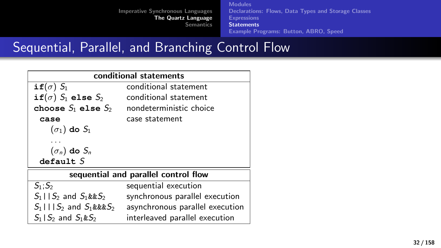[Modules](#page-16-0) [Declarations: Flows, Data Types and Storage Classes](#page-17-0) **[Expressions](#page-26-0) [Statements](#page-29-0)** [Example Programs: Button, ABRO, Speed](#page-61-0)

# Sequential, Parallel, and Branching Control Flow

| conditional statements               |                                 |  |
|--------------------------------------|---------------------------------|--|
| if( $\sigma$ ) $S_1$                 | conditional statement           |  |
| if $(\sigma)$ $S_1$ else $S_2$       | conditional statement           |  |
| choose $S_1$ else $S_2$              | nondeterministic choice         |  |
| case                                 | case statement                  |  |
| $(\sigma_1)$ do $S_1$                |                                 |  |
|                                      |                                 |  |
| $(\sigma_n)$ do $S_n$                |                                 |  |
| default S                            |                                 |  |
| sequential and parallel control flow |                                 |  |
| $S_1: S_2$                           | sequential execution            |  |
| $S_1 \cup S_2$ and $S_1 \& S_2$      | synchronous parallel execution  |  |
| $S_1$    $S_2$ and $S_1$ &&& $S_2$   | asynchronous parallel execution |  |
| $S_1 \, S_2$ and $S_1 \& S_2$        | interleaved parallel execution  |  |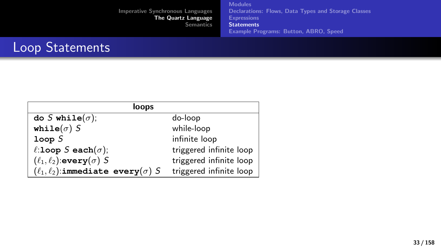[Modules](#page-16-0) [Declarations: Flows, Data Types and Storage Classes](#page-17-0) **[Expressions](#page-26-0) [Statements](#page-29-0)** [Example Programs: Button, ABRO, Speed](#page-61-0)

# Loop Statements

| loops                                            |                         |  |
|--------------------------------------------------|-------------------------|--|
| do S while $(\sigma)$ ;                          | do-loop                 |  |
| while( $\sigma$ ) S                              | while-loop              |  |
| loopS                                            | infinite loop           |  |
| l:loop S each $(\sigma)$ ;                       | triggered infinite loop |  |
| $(\ell_1, \ell_2)$ :every $(\sigma)$ S           | triggered infinite loop |  |
| $(\ell_1, \ell_2)$ :immediate every $(\sigma)$ S | triggered infinite loop |  |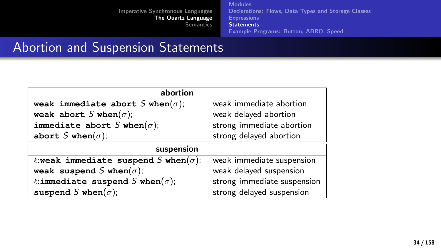[Modules](#page-16-0) [Declarations: Flows, Data Types and Storage Classes](#page-17-0) **[Expressions](#page-26-0) [Statements](#page-29-0)** [Example Programs: Button, ABRO, Speed](#page-61-0)

# Abortion and Suspension Statements

| abortion                                     |                             |  |
|----------------------------------------------|-----------------------------|--|
| weak immediate abort S when $(\sigma)$ ;     | weak immediate abortion     |  |
| weak abort S when $(\sigma)$ ;               | weak delayed abortion       |  |
| immediate abort S when $(\sigma)$ ;          | strong immediate abortion   |  |
| abort S when $(\sigma)$ ;                    | strong delayed abortion     |  |
| suspension                                   |                             |  |
| l:weak immediate suspend S when $(\sigma)$ ; | weak immediate suspension   |  |
| weak suspend S when $(\sigma)$ ;             | weak delayed suspension     |  |
| l:immediate suspend S when $(\sigma)$ ;      | strong immediate suspension |  |
| suspend S when $(\sigma)$ ;                  | strong delayed suspension   |  |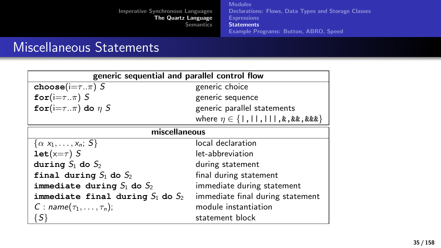[Imperative Synchronous Languages](#page-2-0) [The Quartz Language](#page-15-0) **[Semantics](#page-73-0)** [Modules](#page-16-0) [Declarations: Flows, Data Types and Storage Classes](#page-17-0) **[Expressions](#page-26-0) [Statements](#page-29-0)** [Example Programs: Button, ABRO, Speed](#page-61-0)

### Miscellaneous Statements

| generic sequential and parallel control flow |                                                    |  |
|----------------------------------------------|----------------------------------------------------|--|
| choose( $i=\tau \cdot \pi$ ) S               | generic choice                                     |  |
| for $(i=\tau\pi)$ S                          | generic sequence                                   |  |
| for $(i=\tau \cdot \pi)$ do $\eta$ S         | generic parallel statements                        |  |
|                                              | where $\eta \in \{   ,     ,     , k , kk , kk \}$ |  |
| miscellaneous                                |                                                    |  |
| $\{\alpha x_1,\ldots,x_n; S\}$               | local declaration                                  |  |
| $let(x=\tau)$ S                              | let-abbreviation                                   |  |
| during $S_1$ do $S_2$                        | during statement                                   |  |
| final during $S_1$ do $S_2$                  | final during statement                             |  |
| immediate during $S_1$ do $S_2$              | immediate during statement                         |  |
| immediate final during $S_1$ do $S_2$        | immediate final during statement                   |  |
| C : name $(\tau_1,\ldots,\tau_n)$ ;          | module instantiation                               |  |
| $\{S\}$                                      | statement block                                    |  |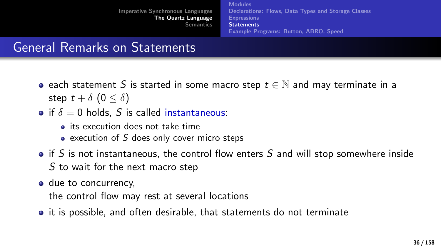[Modules](#page-16-0) [Declarations: Flows, Data Types and Storage Classes](#page-17-0) [Expressions](#page-26-0) **[Statements](#page-29-0)** [Example Programs: Button, ABRO, Speed](#page-61-0)

# General Remarks on Statements

- each statement S is started in some macro step  $t \in \mathbb{N}$  and may terminate in a step  $t + \delta$   $(0 < \delta)$
- if  $\delta = 0$  holds, S is called instantaneous:
	- **its execution does not take time**
	- $\bullet$  execution of S does only cover micro steps
- $\bullet$  if S is not instantaneous, the control flow enters S and will stop somewhere inside S to wait for the next macro step
- due to concurrency.

the control flow may rest at several locations

• it is possible, and often desirable, that statements do not terminate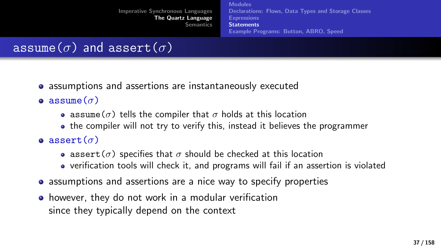[Modules](#page-16-0) [Declarations: Flows, Data Types and Storage Classes](#page-17-0) [Expressions](#page-26-0) **[Statements](#page-29-0)** [Example Programs: Button, ABRO, Speed](#page-61-0)

## assume( $\sigma$ ) and assert( $\sigma$ )

- assumptions and assertions are instantaneously executed
- **a** assume  $(\sigma)$ 
	- assume( $\sigma$ ) tells the compiler that  $\sigma$  holds at this location
	- the compiler will not try to verify this, instead it believes the programmer
- **a** assert $(\sigma)$ 
	- assert( $\sigma$ ) specifies that  $\sigma$  should be checked at this location
	- verification tools will check it, and programs will fail if an assertion is violated
- assumptions and assertions are a nice way to specify properties
- however, they do not work in a modular verification since they typically depend on the context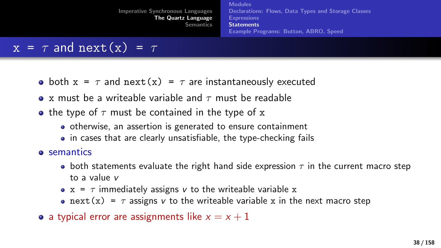[Imperative Synchronous Languages](#page-2-0) [The Quartz Language](#page-15-0) **[Semantics](#page-73-0)** [Modules](#page-16-0) [Declarations: Flows, Data Types and Storage Classes](#page-17-0) [Expressions](#page-26-0) **[Statements](#page-29-0)** [Example Programs: Button, ABRO, Speed](#page-61-0)

### $x = \tau$  and  $next(x) = \tau$

- both  $x = \tau$  and next(x) =  $\tau$  are instantaneously executed
- $\bullet$  x must be a writeable variable and  $\tau$  must be readable
- the type of  $\tau$  must be contained in the type of x
	- otherwise, an assertion is generated to ensure containment
	- in cases that are clearly unsatisfiable, the type-checking fails
- **o** semantics
	- both statements evaluate the right hand side expression  $\tau$  in the current macro step to a value v
	- $x = \tau$  immediately assigns v to the writeable variable x
	- next(x) =  $\tau$  assigns v to the writeable variable x in the next macro step
- a typical error are assignments like  $x = x + 1$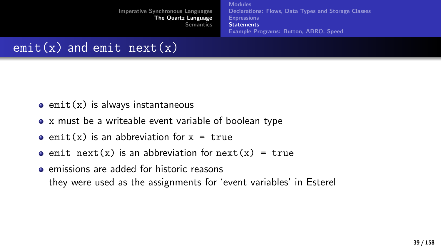[Modules](#page-16-0) [Declarations: Flows, Data Types and Storage Classes](#page-17-0) **[Expressions](#page-26-0) [Statements](#page-29-0)** [Example Programs: Button, ABRO, Speed](#page-61-0)

### $emit(x)$  and emit  $next(x)$

- $\bullet$  emit(x) is always instantaneous
- x must be a writeable event variable of boolean type
- $\bullet$  emit(x) is an abbreviation for  $x = true$
- $\bullet$  emit next(x) is an abbreviation for next(x) = true
- **e** emissions are added for historic reasons they were used as the assignments for 'event variables' in Esterel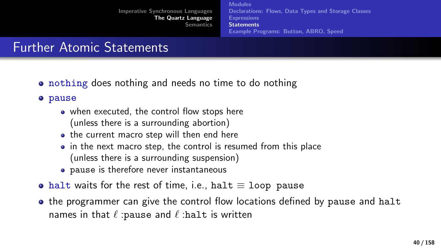[Modules](#page-16-0) [Declarations: Flows, Data Types and Storage Classes](#page-17-0) [Expressions](#page-26-0) **[Statements](#page-29-0)** [Example Programs: Button, ABRO, Speed](#page-61-0)

# Further Atomic Statements

• nothing does nothing and needs no time to do nothing

o pause

- when executed, the control flow stops here (unless there is a surrounding abortion)
- the current macro step will then end here
- in the next macro step, the control is resumed from this place (unless there is a surrounding suspension)
- pause is therefore never instantaneous
- halt waits for the rest of time, i.e., halt  $\equiv$  loop pause
- the programmer can give the control flow locations defined by pause and halt names in that  $\ell$  :pause and  $\ell$  :halt is written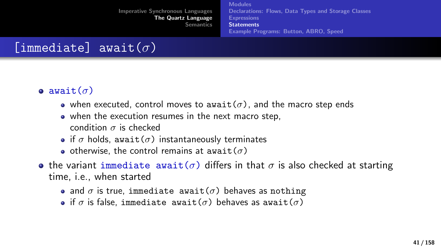[Modules](#page-16-0) [Declarations: Flows, Data Types and Storage Classes](#page-17-0) [Expressions](#page-26-0) **[Statements](#page-29-0)** [Example Programs: Button, ABRO, Speed](#page-61-0)

# [immediate] await $(\sigma)$

#### **•** await $(\sigma)$

- when executed, control moves to await( $\sigma$ ), and the macro step ends
- when the execution resumes in the next macro step, condition  $\sigma$  is checked
- if  $\sigma$  holds, await( $\sigma$ ) instantaneously terminates
- o otherwise, the control remains at await $(\sigma)$
- **•** the variant immediate await( $\sigma$ ) differs in that  $\sigma$  is also checked at starting time, i.e., when started
	- and  $\sigma$  is true, immediate await( $\sigma$ ) behaves as nothing
	- **•** if  $\sigma$  is false, immediate await( $\sigma$ ) behaves as await( $\sigma$ )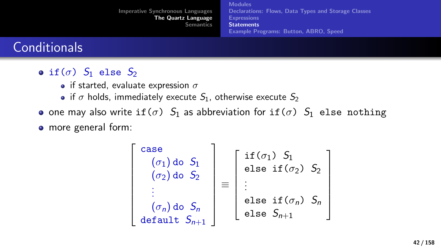|                                         | <b>Modules</b>                                      |
|-----------------------------------------|-----------------------------------------------------|
| <b>Imperative Synchronous Languages</b> | Declarations: Flows, Data Types and Storage Classes |
| The Quartz Language                     | <b>Expressions</b>                                  |
| <b>Semantics</b>                        | <b>Statements</b>                                   |
|                                         | <b>Example Programs: Button, ABRO, Speed</b>        |

### **Conditionals**

- if  $(\sigma)$   $S_1$  else  $S_2$ 
	- if started, evaluate expression  $\sigma$
	- if  $\sigma$  holds, immediately execute  $S_1$ , otherwise execute  $S_2$
- one may also write if( $\sigma$ )  $S_1$  as abbreviation for if( $\sigma$ )  $S_1$  else nothing

more general form:

$$
\begin{bmatrix}\n\text{case} \\
(\sigma_1) \text{ do } S_1 \\
(\sigma_2) \text{ do } S_2 \\
\vdots \\
(\sigma_n) \text{ do } S_n \\
\text{default } S_{n+1}\n\end{bmatrix} \equiv \begin{bmatrix}\n\text{if } (\sigma_1) \ S_1 \\
\text{else if } (\sigma_2) \ S_2 \\
\vdots \\
\text{else if } (\sigma_n) \ S_n \\
\text{else } S_{n+1}\n\end{bmatrix}
$$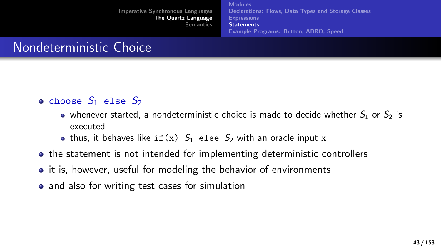[Modules](#page-16-0) [Declarations: Flows, Data Types and Storage Classes](#page-17-0) [Example Programs: Button, ABRO, Speed](#page-61-0)

# Nondeterministic Choice

- choose  $S_1$  else  $S_2$ 
	- whenever started, a nondeterministic choice is made to decide whether  $S_1$  or  $S_2$  is executed
	- thus, it behaves like if(x)  $S_1$  else  $S_2$  with an oracle input x
- the statement is not intended for implementing deterministic controllers
- it is, however, useful for modeling the behavior of environments
- and also for writing test cases for simulation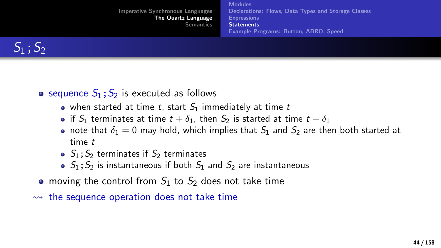| <b>Imperative Synchronous Languages</b><br>The Quartz Language<br><b>Semantics</b> | <b>Modules</b><br>Declarations: Flows, Data Types and Storage Classes<br><b>Expressions</b><br><b>Statements</b><br>Example Programs: Button, ABRO, Speed |
|------------------------------------------------------------------------------------|-----------------------------------------------------------------------------------------------------------------------------------------------------------|
|                                                                                    |                                                                                                                                                           |



- sequence  $S_1$ ;  $S_2$  is executed as follows
	- when started at time t, start  $S_1$  immediately at time t
	- if  $S_1$  terminates at time  $t + \delta_1$ , then  $S_2$  is started at time  $t + \delta_1$
	- note that  $\delta_1 = 0$  may hold, which implies that  $S_1$  and  $S_2$  are then both started at time t
	- $\bullet$   $S_1$ ;  $S_2$  terminates if  $S_2$  terminates
	- $\bullet$   $S_1$ :  $S_2$  is instantaneous if both  $S_1$  and  $S_2$  are instantaneous
- moving the control from  $S_1$  to  $S_2$  does not take time
- $\rightarrow$  the sequence operation does not take time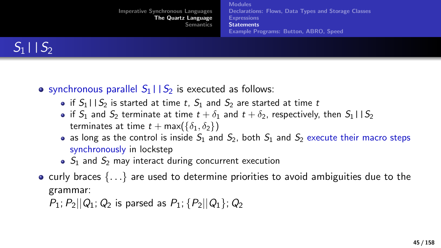

- synchronous parallel  $S_1 \mid S_2$  is executed as follows:
	- if  $S_1 \mid S_2$  is started at time t,  $S_1$  and  $S_2$  are started at time t
	- if  $S_1$  and  $S_2$  terminate at time  $t + \delta_1$  and  $t + \delta_2$ , respectively, then  $S_1 \mid S_2$ terminates at time  $t + \max({\{\delta_1, \delta_2\}})$
	- as long as the control is inside  $S_1$  and  $S_2$ , both  $S_1$  and  $S_2$  execute their macro steps synchronously in lockstep
	- $\bullet$  S<sub>1</sub> and S<sub>2</sub> may interact during concurrent execution
- curly braces  $\{ \ldots \}$  are used to determine priorities to avoid ambiguities due to the grammar:

 $P_1$ ;  $P_2||Q_1$ ;  $Q_2$  is parsed as  $P_1$ ;  $\{P_2||Q_1\}$ ;  $Q_2$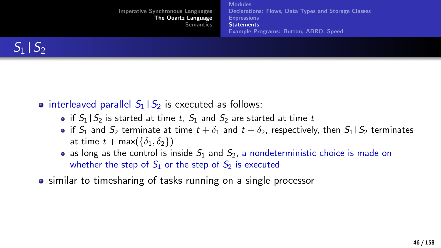| <b>Example Programs: Button, ABRO, Speed</b> |
|----------------------------------------------|
|----------------------------------------------|



- interleaved parallel  $S_1|S_2$  is executed as follows:
	- if  $S_1 \mid S_2$  is started at time t,  $S_1$  and  $S_2$  are started at time t
	- if  $S_1$  and  $S_2$  terminate at time  $t + \delta_1$  and  $t + \delta_2$ , respectively, then  $S_1 \mid S_2$  terminates at time  $t + \max(\{\delta_1, \delta_2\})$
	- as long as the control is inside  $S_1$  and  $S_2$ , a nondeterministic choice is made on whether the step of  $S_1$  or the step of  $S_2$  is executed
- similar to timesharing of tasks running on a single processor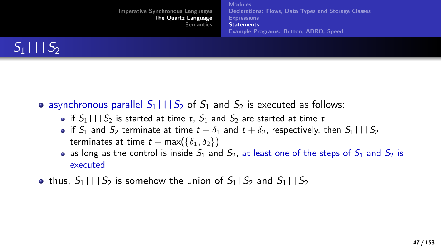| <b>Imperative Synchronous Languages</b><br>The Quartz Language<br><b>Semantics</b> | <b>Modules</b><br>Declarations: Flows, Data Types and Storage Classes<br><b>Expressions</b><br><b>Statements</b><br><b>Example Programs: Button. ABRO. Speed</b> |
|------------------------------------------------------------------------------------|------------------------------------------------------------------------------------------------------------------------------------------------------------------|
|                                                                                    |                                                                                                                                                                  |



- asynchronous parallel  $S_1$ ||| $S_2$  of  $S_1$  and  $S_2$  is executed as follows:
	- if  $S_1$ ||| $S_2$  is started at time t,  $S_1$  and  $S_2$  are started at time t
	- if  $S_1$  and  $S_2$  terminate at time  $t + \delta_1$  and  $t + \delta_2$ , respectively, then  $S_1 \cup S_2$ terminates at time  $t + \max({\{\delta_1, \delta_2\}})$
	- as long as the control is inside  $S_1$  and  $S_2$ , at least one of the steps of  $S_1$  and  $S_2$  is executed
- thus,  $S_1 \mid \mid S_2$  is somehow the union of  $S_1 \mid S_2$  and  $S_1 \mid S_2$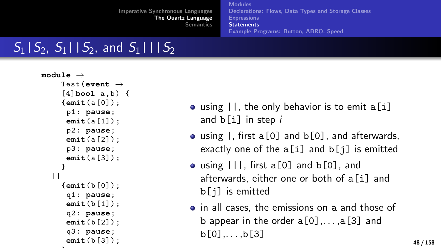[Modules](#page-16-0) [Declarations: Flows, Data Types and Storage Classes](#page-17-0) [Expressions](#page-26-0) **[Statements](#page-29-0)** [Example Programs: Button, ABRO, Speed](#page-61-0)

# $S_1|S_2, S_1|S_2,$  and  $S_1|S_2$

```
module →
    Test (event →
     [4]bool a ,b) {
     {emit(a [0]) ;
      p1 : pause;
      emit(a [1]) ;
      p2 : pause;
      emit(a [2]) ;
      p3 : pause;
      emit(a [3]) ;
     }
  | \ |{emit(b [0]) ;
      q1 : pause;
      emit(b [1]) ;
      q2 : pause;
      emit(b [2]) ;
      q3 : pause;
      emit(b [3]) ;
```
 $\ddot{\phantom{1}}$ 

- using  $||$ , the only behavior is to emit a[i] and  $b[i]$  in step  $i$
- $\bullet$  using  $\vert$ , first a[0] and b[0], and afterwards, exactly one of the  $a[i]$  and  $b[j]$  is emitted
- using  $|||$ , first a[0] and  $b[0]$ , and afterwards, either one or both of a[i] and b[j] is emitted
- in all cases, the emissions on a and those of b appear in the order  $a[0], \ldots, a[3]$  and  $b[0]$ .... $b[3]$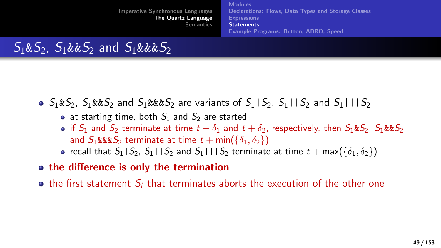[Imperative Synchronous Languages](#page-2-0) [The Quartz Language](#page-15-0) [Semantics](#page-73-0) **[Modules](#page-16-0)** [Declarations: Flows, Data Types and Storage Classes](#page-17-0) [Expressions](#page-26-0) **[Statements](#page-29-0)** [Example Programs: Button, ABRO, Speed](#page-61-0)

 $S_1&S_2$ ,  $S_1&S_2$  and  $S_1&S_3$ 

- $S_1 \& S_2$ ,  $S_1 \& S_2$  and  $S_1 \& S_2$  are variants of  $S_1 | S_2$ ,  $S_1 | S_2$  and  $S_1 | S_2$ 
	- at starting time, both  $S_1$  and  $S_2$  are started
	- if  $S_1$  and  $S_2$  terminate at time  $t + \delta_1$  and  $t + \delta_2$ , respectively, then  $S_1 \& S_2$ ,  $S_1 \& S_2$ and  $S_1$ &&& $S_2$  terminate at time  $t + min({\delta_1, \delta_2})$
	- recall that  $S_1|S_2$ ,  $S_1|S_2$  and  $S_1|S_2$  terminate at time  $t + \max({\delta_1, \delta_2})$
- the difference is only the termination
- $\bullet$  the first statement  $S_i$  that terminates aborts the execution of the other one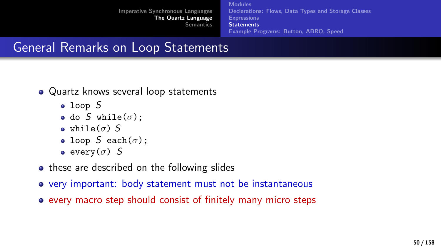[Modules](#page-16-0) [Declarations: Flows, Data Types and Storage Classes](#page-17-0) [Expressions](#page-26-0) **[Statements](#page-29-0)** [Example Programs: Button, ABRO, Speed](#page-61-0)

# General Remarks on Loop Statements

- Quartz knows several loop statements
	- loop S
	- do S while $(\sigma)$ ;
	- while( $\sigma$ ) S
	- loop S each $(\sigma)$ ;
	- $\bullet$  every( $\sigma$ ) S
- these are described on the following slides
- very important: body statement must not be instantaneous
- every macro step should consist of finitely many micro steps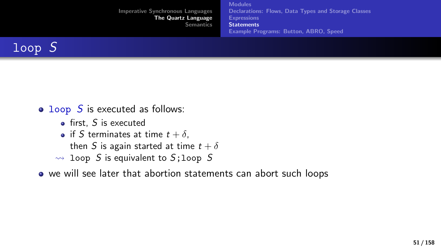| <b>Imperative Synchronous Languages</b><br>The Quartz Language<br><b>Semantics</b> | <b>Modules</b><br>Declarations: Flows, Data Types and Storage Classes<br><b>Expressions</b><br><b>Statements</b><br><b>Example Programs: Button, ABRO, Speed</b> |
|------------------------------------------------------------------------------------|------------------------------------------------------------------------------------------------------------------------------------------------------------------|
|------------------------------------------------------------------------------------|------------------------------------------------------------------------------------------------------------------------------------------------------------------|



- $\bullet$  loop S is executed as follows:
	- $\bullet$  first, S is executed
	- if S terminates at time  $t + \delta$ ,
		- then S is again started at time  $t + \delta$
	- $\rightsquigarrow$  loop S is equivalent to S; loop S
- we will see later that abortion statements can abort such loops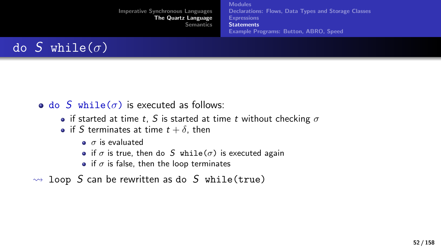

- do S while( $\sigma$ ) is executed as follows:
	- if started at time t, S is started at time t without checking  $\sigma$
	- if S terminates at time  $t + \delta$ , then
		- $\bullet$   $\sigma$  is evaluated
		- if  $\sigma$  is true, then do S while( $\sigma$ ) is executed again
		- if  $\sigma$  is false, then the loop terminates
- $\rightsquigarrow$  loop S can be rewritten as do S while(true)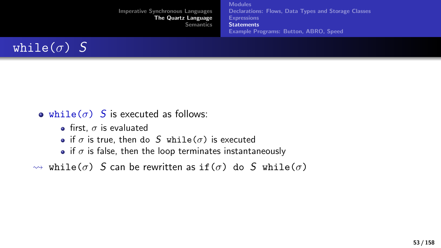[Imperative Synchronous Languages](#page-2-0) [The Quartz Language](#page-15-0) **[Semantics](#page-73-0)** [Modules](#page-16-0) [Declarations: Flows, Data Types and Storage Classes](#page-17-0) **[Expressions](#page-26-0) [Statements](#page-29-0)** [Example Programs: Button, ABRO, Speed](#page-61-0)



- while( $\sigma$ ) S is executed as follows:
	- **•** first,  $\sigma$  is evaluated
	- if  $\sigma$  is true, then do S while( $\sigma$ ) is executed
	- if  $\sigma$  is false, then the loop terminates instantaneously

 $\rightsquigarrow$  while(σ) S can be rewritten as if(σ) do S while(σ)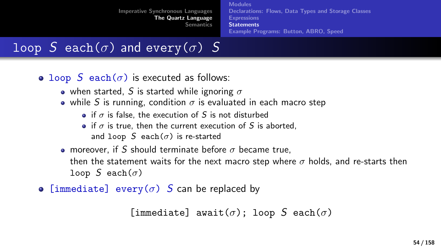[Modules](#page-16-0) [Declarations: Flows, Data Types and Storage Classes](#page-17-0) [Expressions](#page-26-0) **[Statements](#page-29-0)** [Example Programs: Button, ABRO, Speed](#page-61-0)

## loop S each( $\sigma$ ) and every( $\sigma$ ) S

- loop S each( $\sigma$ ) is executed as follows:
	- when started, S is started while ignoring  $\sigma$
	- while S is running, condition  $\sigma$  is evaluated in each macro step
		- if  $\sigma$  is false, the execution of S is not disturbed
		- if  $\sigma$  is true, then the current execution of S is aborted. and loop S each( $\sigma$ ) is re-started
	- **moreover, if S should terminate before**  $\sigma$  **became true.** then the statement waits for the next macro step where  $\sigma$  holds, and re-starts then loop S each $(\sigma)$
- [immediate] every( $\sigma$ ) S can be replaced by

[immediate] await( $\sigma$ ); loop S each( $\sigma$ )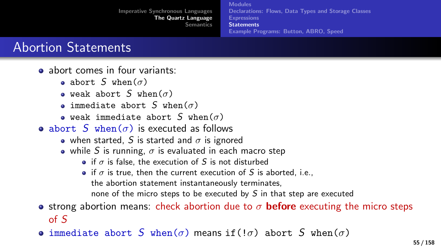[Modules](#page-16-0) [Declarations: Flows, Data Types and Storage Classes](#page-17-0) [Expressions](#page-26-0) **[Statements](#page-29-0)** [Example Programs: Button, ABRO, Speed](#page-61-0)

### Abortion Statements

- **a** abort comes in four variants:
	- abort S when $(\sigma)$
	- $\bullet$  weak abort S when( $\sigma$ )
	- **•** immediate abort S when( $\sigma$ )
	- weak immediate abort S when( $\sigma$ )
- abort S when( $\sigma$ ) is executed as follows
	- when started, S is started and  $\sigma$  is ignored
	- while S is running,  $\sigma$  is evaluated in each macro step
		- if  $\sigma$  is false, the execution of S is not disturbed
		- if  $\sigma$  is true, then the current execution of S is aborted, i.e., the abortion statement instantaneously terminates, none of the micro steps to be executed by  $S$  in that step are executed
- **•** strong abortion means: check abortion due to  $\sigma$  **before** executing the micro steps of S
- **•** immediate abort S when( $\sigma$ ) means if(! $\sigma$ ) abort S when( $\sigma$ )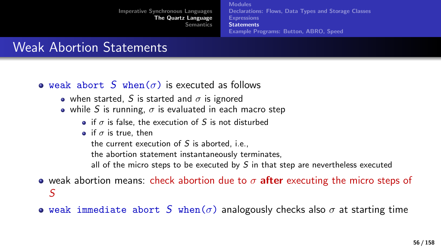[Modules](#page-16-0) [Declarations: Flows, Data Types and Storage Classes](#page-17-0) [Expressions](#page-26-0) **[Statements](#page-29-0)** [Example Programs: Button, ABRO, Speed](#page-61-0)

### Weak Abortion Statements

- **e** weak abort S when( $\sigma$ ) is executed as follows
	- when started, S is started and  $\sigma$  is ignored
	- while S is running,  $\sigma$  is evaluated in each macro step
		- if  $\sigma$  is false, the execution of S is not disturbed
		- if  $\sigma$  is true, then

the current execution of  $S$  is aborted, i.e.,

the abortion statement instantaneously terminates,

all of the micro steps to be executed by  $S$  in that step are nevertheless executed

- weak abortion means: check abortion due to  $\sigma$  after executing the micro steps of S
- weak immediate abort S when( $\sigma$ ) analogously checks also  $\sigma$  at starting time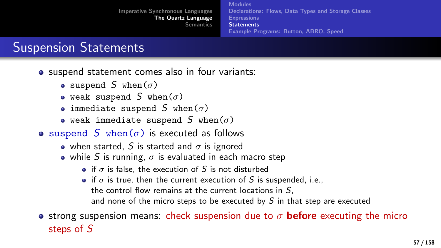[Modules](#page-16-0) [Declarations: Flows, Data Types and Storage Classes](#page-17-0) **[Expressions](#page-26-0) [Statements](#page-29-0)** [Example Programs: Button, ABRO, Speed](#page-61-0)

### Suspension Statements

- suspend statement comes also in four variants:
	- suspend S when( $\sigma$ )
	- weak suspend S when $(\sigma)$
	- immediate suspend S when $(\sigma)$
	- weak immediate suspend S when( $\sigma$ )
- suspend S when( $\sigma$ ) is executed as follows
	- when started, S is started and  $\sigma$  is ignored
	- while S is running,  $\sigma$  is evaluated in each macro step
		- if  $\sigma$  is false, the execution of S is not disturbed
		- if  $\sigma$  is true, then the current execution of S is suspended, i.e., the control flow remains at the current locations in  $S$ . and none of the micro steps to be executed by  $S$  in that step are executed

**•** strong suspension means: check suspension due to  $\sigma$  **before** executing the micro steps of S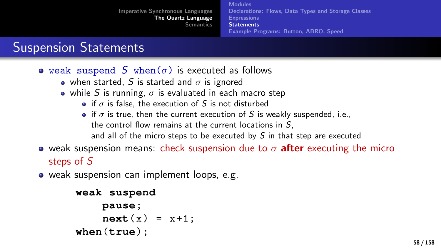[Modules](#page-16-0) [Declarations: Flows, Data Types and Storage Classes](#page-17-0) **[Expressions](#page-26-0) [Statements](#page-29-0)** [Example Programs: Button, ABRO, Speed](#page-61-0)

### Suspension Statements

- weak suspend S when( $\sigma$ ) is executed as follows
	- when started, S is started and  $\sigma$  is ignored
	- while S is running,  $\sigma$  is evaluated in each macro step
		- if  $\sigma$  is false, the execution of S is not disturbed
		- if  $\sigma$  is true, then the current execution of S is weakly suspended, i.e., the control flow remains at the current locations in  $S$ . and all of the micro steps to be executed by  $S$  in that step are executed
- **•** weak suspension means: check suspension due to  $\sigma$  after executing the micro steps of S
- weak suspension can implement loops, e.g.

```
weak suspend
    pause;
    next(x) = x+1;
when(true) ;
```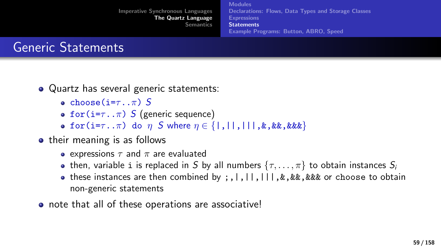

- Quartz has several generic statements:
	- e choose( $i=\tau_{\cdot}$ . $\pi$ ) S
	- for( $i=\tau \ldots \pi$ ) S (generic sequence)
	- **o** for(i= $\tau$ .. $\pi$ ) do  $\eta$  S where  $\eta \in \{ |, | |, | |, | \ldots \}$ , & &, & & &  $\}$
- their meaning is as follows
	- **e** expressions  $\tau$  and  $\pi$  are evaluated
	- then, variable i is replaced in S by all numbers  $\{\tau, \ldots, \pi\}$  to obtain instances  $S_i$
	- these instances are then combined by ;,|,||,|||,&,&&,&&& or choose to obtain non-generic statements
- note that all of these operations are associative!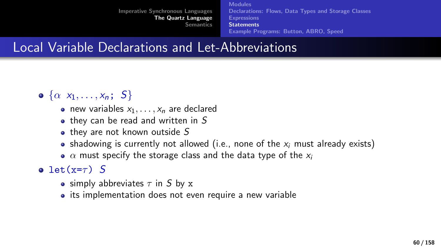[Modules](#page-16-0) [Declarations: Flows, Data Types and Storage Classes](#page-17-0) [Expressions](#page-26-0) **[Statements](#page-29-0)** [Example Programs: Button, ABRO, Speed](#page-61-0)

### Local Variable Declarations and Let-Abbreviations

- $\bullet \{\alpha x_1, \ldots, x_n; S\}$ 
	- new variables  $x_1, \ldots, x_n$  are declared
	- $\bullet$  they can be read and written in S
	- $\bullet$  they are not known outside  $S$
	- shadowing is currently not allowed (i.e., none of the  $x_i$  must already exists)
	- $\alpha$  must specify the storage class and the data type of the  $x_i$

o let(x= $\tau$ ) S

- simply abbreviates  $\tau$  in S by x
- its implementation does not even require a new variable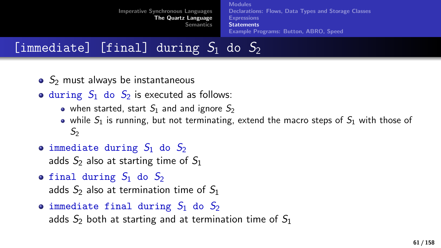[Imperative Synchronous Languages](#page-2-0) [The Quartz Language](#page-15-0) **[Semantics](#page-73-0)** [Modules](#page-16-0) [Declarations: Flows, Data Types and Storage Classes](#page-17-0) [Expressions](#page-26-0) **[Statements](#page-29-0)** [Example Programs: Button, ABRO, Speed](#page-61-0)

[immediate] [final] during  $S_1$  do  $S_2$ 

- $\bullet$  S<sub>2</sub> must always be instantaneous
- during  $S_1$  do  $S_2$  is executed as follows:
	- when started, start  $S_1$  and and ignore  $S_2$
	- while  $S_1$  is running, but not terminating, extend the macro steps of  $S_1$  with those of  $S<sub>2</sub>$
- $\bullet$  immediate during  $S_1$  do  $S_2$

adds  $S_2$  also at starting time of  $S_1$ 

- **final during**  $S_1$  **do**  $S_2$ adds  $S_2$  also at termination time of  $S_1$
- **immediate final during**  $S_1$  **do**  $S_2$ adds  $S_2$  both at starting and at termination time of  $S_1$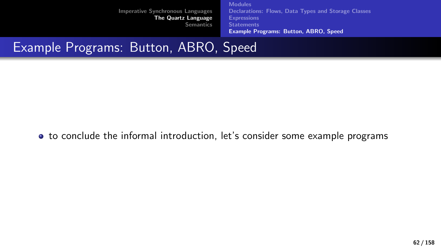[Modules](#page-16-0) [Declarations: Flows, Data Types and Storage Classes](#page-17-0) **[Expressions](#page-26-0) [Statements](#page-29-0)** [Example Programs: Button, ABRO, Speed](#page-61-0)

### <span id="page-61-0"></span>Example Programs: Button, ABRO, Speed

to conclude the informal introduction, let's consider some example programs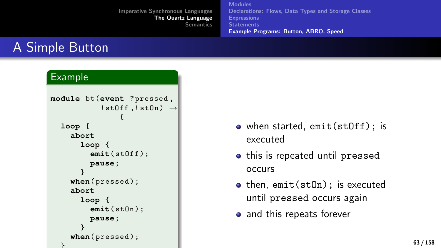[Modules](#page-16-0) [Declarations: Flows, Data Types and Storage Classes](#page-17-0) **[Expressions](#page-26-0) [Statements](#page-29-0)** [Example Programs: Button, ABRO, Speed](#page-61-0)

# A Simple Button

#### Example

```
module bt (event ? pressed ,
             ! stOff, ! stOn) \rightarrow{
  loop {
     abort
       loop {
          emit( stOff );
          pause;
       }
     when( pressed );
     abort
       loop {
          emit( stOn );
          pause;
       }
     when( pressed );
  }
```
- when started, emit(stOff); is executed
- this is repeated until pressed occurs
- then, emit(stOn); is executed until pressed occurs again
- and this repeats forever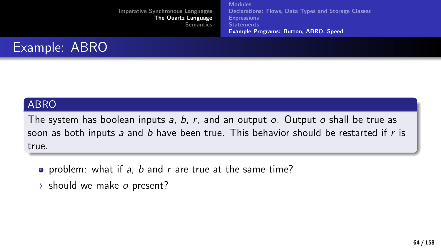[Modules](#page-16-0) [Declarations: Flows, Data Types and Storage Classes](#page-17-0) **[Expressions](#page-26-0) [Statements](#page-29-0)** [Example Programs: Button, ABRO, Speed](#page-61-0)



#### ABRO

The system has boolean inputs  $a, b, r$ , and an output  $o$ . Output  $o$  shall be true as soon as both inputs a and b have been true. This behavior should be restarted if  $r$  is true.

- problem: what if a, b and  $r$  are true at the same time?
- $\rightarrow$  should we make o present?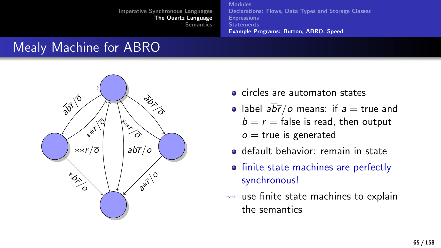[Modules](#page-16-0) [Declarations: Flows, Data Types and Storage Classes](#page-17-0) [Expressions](#page-26-0) **[Statements](#page-29-0)** [Example Programs: Button, ABRO, Speed](#page-61-0)

### Mealy Machine for ABRO



- **o** circles are automaton states
- label  $a\overline{b\overline{r}}/c$  means: if  $a = \text{true}$  and  $b = r =$  false is read, then output
	- $o$  = true is generated
- default behavior: remain in state
- finite state machines are perfectly synchronous!
- $\rightsquigarrow$  use finite state machines to explain the semantics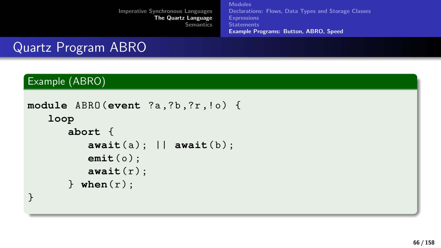[Modules](#page-16-0) [Declarations: Flows, Data Types and Storage Classes](#page-17-0) **[Expressions](#page-26-0) [Statements](#page-29-0)** [Example Programs: Button, ABRO, Speed](#page-61-0)

# Quartz Program ABRO

#### Example (ABRO)

```
module ABRO (event ?a, ?b, ?r, !o) {
    loop
         abort {
             \mathsf{await}(\mathsf{a}); ||\mathsf{await}(\mathsf{b});
             emit(o);
             await(r):
         \} when(r):
}
```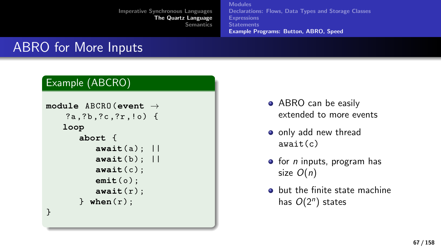[Modules](#page-16-0) [Declarations: Flows, Data Types and Storage Classes](#page-17-0) **[Expressions](#page-26-0) [Statements](#page-29-0)** [Example Programs: Button, ABRO, Speed](#page-61-0)

# ABRO for More Inputs

#### Example (ABCRO)

```
module ABCRO (event →
    ?a, ?b, ?c, ?r, !o) {
   loop
       abort {
           await( a ) ; ||
           await( b ) ; ||
           await( c ) ;
           emit(o);
           await( r ) ;
       } when(r);
}
```
- ABRO can be easily extended to more events
- o only add new thread await(c)
- $\bullet$  for *n* inputs, program has size  $O(n)$
- **•** but the finite state machine has  $O(2^n)$  states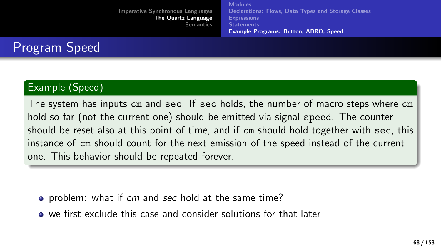[Modules](#page-16-0) [Declarations: Flows, Data Types and Storage Classes](#page-17-0) **[Expressions](#page-26-0) [Statements](#page-29-0)** [Example Programs: Button, ABRO, Speed](#page-61-0)

### Program Speed

#### Example (Speed)

The system has inputs cm and sec. If sec holds, the number of macro steps where cm hold so far (not the current one) should be emitted via signal speed. The counter should be reset also at this point of time, and if cm should hold together with sec, this instance of cm should count for the next emission of the speed instead of the current one. This behavior should be repeated forever.

- problem: what if cm and sec hold at the same time?
- we first exclude this case and consider solutions for that later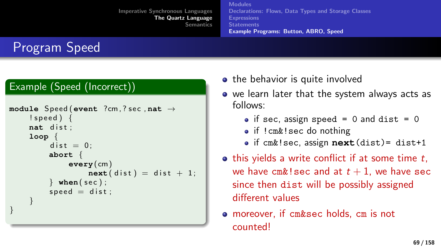[Modules](#page-16-0) [Declarations: Flows, Data Types and Storage Classes](#page-17-0) **[Expressions](#page-26-0) [Statements](#page-29-0)** [Example Programs: Button, ABRO, Speed](#page-61-0)

# Program Speed

#### Example (Speed (Incorrect))

```
module Speed (event ?cm, ? sec , nat →
    ! speed ) {
    nat dist;
    loop {
         dist = 0:
        abort {
             every(cm)
                 next(dist) = dist + 1;} when(sec);
         speed = dist;}
}
```
- the behavior is quite involved
- we learn later that the system always acts as follows:
	- $\bullet$  if sec, assign speed = 0 and dist = 0
	- if !cm&!sec do nothing
	- if cm&!sec, assign **next**(dist)= dist+1
- $\bullet$  this yields a write conflict if at some time t, we have cm&! sec and at  $t + 1$ , we have sec since then dist will be possibly assigned different values
- moreover, if cm&sec holds, cm is not counted!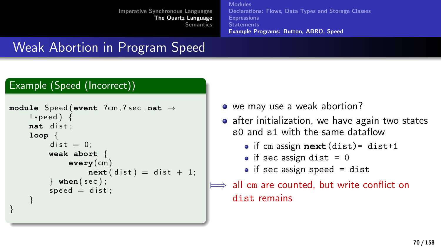[Modules](#page-16-0) [Declarations: Flows, Data Types and Storage Classes](#page-17-0) **[Expressions](#page-26-0) [Statements](#page-29-0)** [Example Programs: Button, ABRO, Speed](#page-61-0)

# Weak Abortion in Program Speed

#### Example (Speed (Incorrect))

```
module Speed (event ?cm, ? sec , nat →
    ! speed ) {
    nat dist:
    loop {
         dist = 0:
        weak abort {
             every(cm)
                 next(dist) = dist + 1;
         } when(sec);
         speed = dist:}
}
```
- we may use a weak abortion?
- after initialization, we have again two states s0 and s1 with the same dataflow
	- if cm assign **next**(dist)= dist+1
	- $\bullet$  if sec assign dist = 0
	- $\bullet$  if sec assign speed = dist

```
all cm are counted, but write conflict on
dist remains
```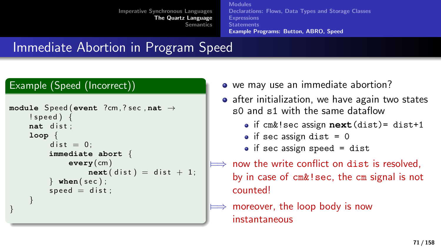[Modules](#page-16-0) [Declarations: Flows, Data Types and Storage Classes](#page-17-0) **[Expressions](#page-26-0) [Statements](#page-29-0)** [Example Programs: Button, ABRO, Speed](#page-61-0)

# Immediate Abortion in Program Speed

#### Example (Speed (Incorrect))

```
module Speed (event ?cm, ? sec , nat →
    ! speed ) {
    nat dist:
    loop {
         dist = 0:
         immediate abort {
             every(cm)
                  next(dist) = dist + 1;
         \} when(sec);
         speed = dist:}
}
```
- we may use an immediate abortion?
- after initialization, we have again two states s0 and s1 with the same dataflow
	- if cm&!sec assign **next**(dist)= dist+1
	- $\bullet$  if sec assign dist = 0
	- $\bullet$  if sec assign speed = dist
- now the write conflict on dist is resolved. by in case of cm&!sec, the cm signal is not counted!
- moreover, the loop body is now instantaneous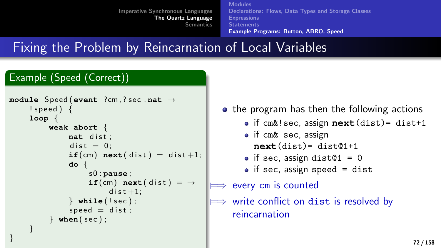[Modules](#page-16-0) [Declarations: Flows, Data Types and Storage Classes](#page-17-0) [Expressions](#page-26-0) **[Statements](#page-29-0)** [Example Programs: Button, ABRO, Speed](#page-61-0)

Fixing the Problem by Reincarnation of Local Variables

#### Example (Speed (Correct))

}

```
module Speed (event ?cm, ? sec , nat →
     ! speed ) {
     loop {
          weak abort {
                nat dist:
                dist = 0:
                \texttt{if}(cm) next(dist) = dist +1;
                do {
                     s 0 : pause ;
                     if(cm) next(dist) = \rightarrowdist +1:
                } while ( ! s e c ) ;
                speed = dist;\mathbf{when}(\mathbf{sec});
     }
```
• the program has then the following actions if cm&!sec, assign **next**(dist)= dist+1 • if cm& sec, assign **next**(dist)= dist@1+1  $\bullet$  if sec, assign dist $@1 = 0$  $\bullet$  if sec, assign speed = dist every cm is counted write conflict on dist is resolved by reincarnation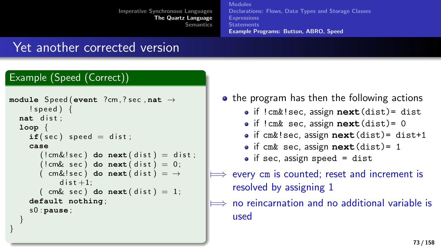[Modules](#page-16-0) [Declarations: Flows, Data Types and Storage Classes](#page-17-0) **[Expressions](#page-26-0) [Statements](#page-29-0)** [Example Programs: Button, ABRO, Speed](#page-61-0)

#### Yet another corrected version

#### Example (Speed (Correct))

}

```
module Speed (event ?cm, ? sec , nat →
    ! speed ) {
  nat dist;
  loop {
    if( sec) speed = dist;case
       (lcm& l sec) do next(dist) = dist;
       (lcm\& sec) do next(dist) = 0;
       ( cm&! sec ) do next(dist) = \rightarrowdist +1:
       (m\& sec) do next(dist) = 1;
    default nothing ;
    s 0 : pause ;
  }
```

| • the program has then the following actions              |
|-----------------------------------------------------------|
| · if !cm&!sec, assign next (dist)= dist                   |
| · if ! cm& sec, assign next (dist)= 0                     |
| · if cm&!sec, assign next (dist)= dist+1                  |
| $\bullet$ if cm& sec, assign next (dist)= 1               |
| $\bullet$ if sec, assign speed = dist                     |
| $\implies$ every cm is counted; reset and increment is    |
| resolved by assigning 1                                   |
| $\implies$ no reincarnation and no additional variable is |
| used                                                      |
|                                                           |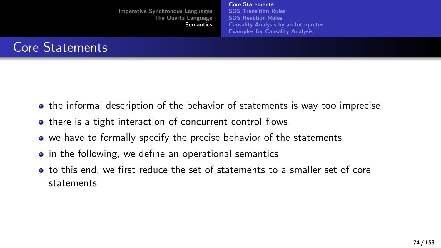[Core Statements](#page-73-0) [SOS Transition Rules](#page-84-0) [SOS Reaction Rules](#page-103-0) [Causality Analysis by an Interpreter](#page-125-0) [Examples for Causality Analysis](#page-134-0)

<span id="page-73-0"></span>

- **•** the informal description of the behavior of statements is way too imprecise
- there is a tight interaction of concurrent control flows
- we have to formally specify the precise behavior of the statements
- in the following, we define an operational semantics
- to this end, we first reduce the set of statements to a smaller set of core statements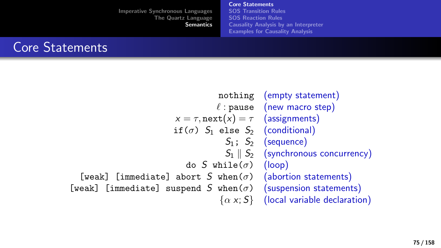[Core Statements](#page-73-0) [SOS Transition Rules](#page-84-0) [SOS Reaction Rules](#page-103-0) [Causality Analysis by an Interpreter](#page-125-0) [Examples for Causality Analysis](#page-134-0)



nothing (empty statement)  $\ell$  : pause (new macro step)  $x = \tau$ , next $(x) = \tau$  (assignments) if( $\sigma$ )  $S_1$  else  $S_2$  (conditional)  $S_1$ :  $S_2$  (sequence)  $S_1 \parallel S_2$  (synchronous concurrency) do S while( $\sigma$ ) (loop) [weak] [immediate] abort S when( $\sigma$ ) (abortion statements) [weak] [immediate] suspend S when( $\sigma$ ) (suspension statements)  $\{\alpha x; S\}$  (local variable declaration)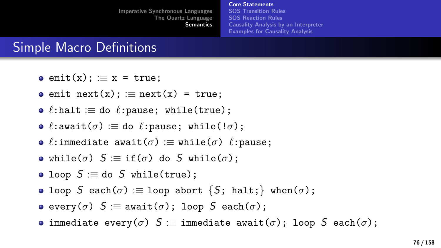[Core Statements](#page-73-0) [SOS Transition Rules](#page-84-0) [SOS Reaction Rules](#page-103-0) [Causality Analysis by an Interpreter](#page-125-0) [Examples for Causality Analysis](#page-134-0)

## Simple Macro Definitions

- $\bullet$  emit(x);  $\equiv$  x = true;
- $\bullet$  emit next(x);  $\equiv$  next(x) = true;
- $\bullet$   $\ell$ :halt : $\equiv$  do  $\ell$ :pause; while(true);
- $\bullet$   $\ell$ :await $(\sigma) :=$  do  $\ell$ :pause; while(! $\sigma$ );
- $\bullet$   $\ell$ :immediate await $(\sigma) :=$  while $(\sigma)$   $\ell$ : pause;
- while( $\sigma$ )  $S \equiv \text{if}(\sigma)$  do S while( $\sigma$ );
- loop  $S \equiv$  do S while(true);
- loop S each( $\sigma$ ) := loop abort {S; halt;} when( $\sigma$ );
- e every( $\sigma$ )  $S \equiv$  await( $\sigma$ ); loop  $S$  each( $\sigma$ );
- **•** immediate every( $\sigma$ ) S := immediate await( $\sigma$ ); loop S each( $\sigma$ );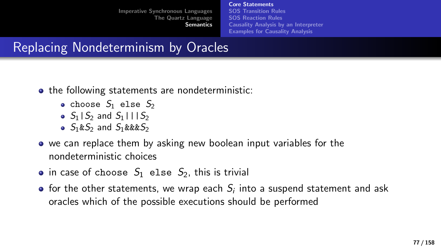[Core Statements](#page-73-0) [SOS Transition Rules](#page-84-0) [SOS Reaction Rules](#page-103-0) [Causality Analysis by an Interpreter](#page-125-0) [Examples for Causality Analysis](#page-134-0)

# Replacing Nondeterminism by Oracles

- the following statements are nondeterministic:
	- choose  $S_1$  else  $S_2$
	- $\bullet$  S<sub>1</sub> | S<sub>2</sub> and S<sub>1</sub> | | | S<sub>2</sub>
	- $\bullet$  S<sub>1</sub>&S<sub>2</sub> and S<sub>1</sub>&&&S<sub>2</sub>
- we can replace them by asking new boolean input variables for the nondeterministic choices
- in case of choose  $S_1$  else  $S_2$ , this is trivial
- for the other statements, we wrap each  $\mathcal{S}_i$  into a suspend statement and ask oracles which of the possible executions should be performed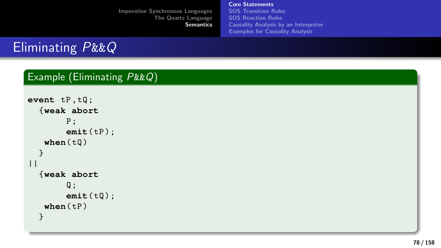[Core Statements](#page-73-0) [SOS Transition Rules](#page-84-0) [SOS Reaction Rules](#page-103-0) [Causality Analysis by an Interpreter](#page-125-0) [Examples for Causality Analysis](#page-134-0)

# Eliminating P&&Q

#### Example (Eliminating P&&Q)

```
event tP , tQ ;
  {weak abort
         P ;
        emit( tP ) ;
   when( tQ )
  }
| \ |{weak abort
         Q:emit( tQ ) ;
   when(tP)}
```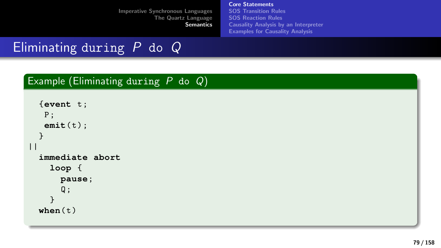[Core Statements](#page-73-0) [SOS Transition Rules](#page-84-0) [SOS Reaction Rules](#page-103-0) [Causality Analysis by an Interpreter](#page-125-0) [Examples for Causality Analysis](#page-134-0)

# Eliminating during  $P$  do  $Q$

#### Example (Eliminating during  $P$  do  $Q$ )

```
{event t ;
   P ;
   emit( t ) ;
  }
||immediate abort
    loop {
      pause;
      Q ;
    }
 when(t)
```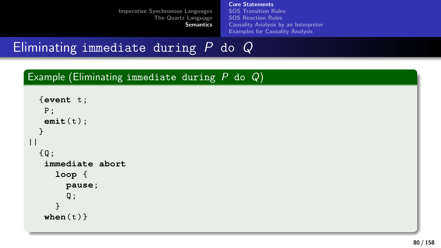[Core Statements](#page-73-0) [SOS Transition Rules](#page-84-0) [SOS Reaction Rules](#page-103-0) [Causality Analysis by an Interpreter](#page-125-0) [Examples for Causality Analysis](#page-134-0)

Eliminating immediate during  $P$  do  $Q$ 

#### Example (Eliminating immediate during P do Q)

```
{event t ;
   P ;
   emit( t ) ;
  }
||{ Q ;
   immediate abort
     loop {
        pause;
        Q;
      }
   when(t)}
```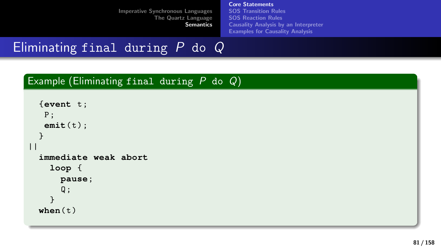[Core Statements](#page-73-0) [SOS Transition Rules](#page-84-0) [SOS Reaction Rules](#page-103-0) [Causality Analysis by an Interpreter](#page-125-0) [Examples for Causality Analysis](#page-134-0)

# Eliminating final during  $\overline{P}$  do  $\overline{Q}$

#### Example (Eliminating final during  $P$  do  $Q$ )

```
{event t ;
   P ;
   emit( t ) ;
  }
||immediate weak abort
    loop {
      pause;
      Q;
    }
 when(t)
```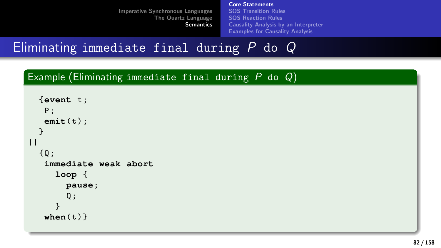[Core Statements](#page-73-0) [SOS Transition Rules](#page-84-0) [SOS Reaction Rules](#page-103-0) [Causality Analysis by an Interpreter](#page-125-0) [Examples for Causality Analysis](#page-134-0)

Eliminating immediate final during  $P$  do  $Q$ 

Example (Eliminating immediate final during  $P$  do  $Q$ )

```
{event t ;
   P ;
   emit( t ) ;
  }
||{Q};
   immediate weak abort
     loop {
        pause;
        Q;
     }
   when(t)}
```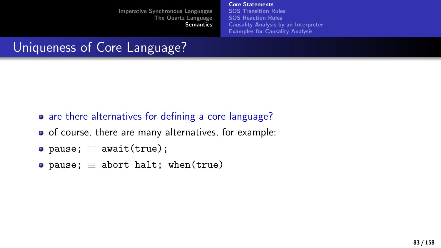[Core Statements](#page-73-0) [SOS Transition Rules](#page-84-0) [SOS Reaction Rules](#page-103-0) [Causality Analysis by an Interpreter](#page-125-0) [Examples for Causality Analysis](#page-134-0)

# Uniqueness of Core Language?

- are there alternatives for defining a core language?
- of course, there are many alternatives, for example:
- pause;  $\equiv$  await(true);
- pause;  $\equiv$  abort halt; when(true)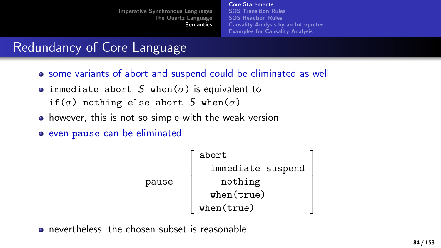[Core Statements](#page-73-0) [SOS Transition Rules](#page-84-0) [SOS Reaction Rules](#page-103-0) [Causality Analysis by an Interpreter](#page-125-0) [Examples for Causality Analysis](#page-134-0)

## Redundancy of Core Language

- some variants of abort and suspend could be eliminated as well
- immediate abort S when( $\sigma$ ) is equivalent to if( $\sigma$ ) nothing else abort S when( $\sigma$ )
- however, this is not so simple with the weak version
- even pause can be eliminated

$$
\texttt{pause} \equiv \left[\begin{array}{c} \texttt{abort} \\ \texttt{immediate suspend} \\ \texttt{nothing} \\ \texttt{when}(\texttt{true}) \\ \texttt{when}(\texttt{true}) \end{array}\right]
$$

• nevertheless, the chosen subset is reasonable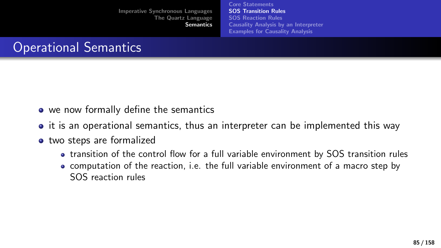[Core Statements](#page-73-0) [SOS Transition Rules](#page-84-0) [SOS Reaction Rules](#page-103-0) [Causality Analysis by an Interpreter](#page-125-0) [Examples for Causality Analysis](#page-134-0)

# <span id="page-84-0"></span>Operational Semantics

- we now formally define the semantics
- $\bullet$  it is an operational semantics, thus an interpreter can be implemented this way
- two steps are formalized
	- transition of the control flow for a full variable environment by SOS transition rules
	- computation of the reaction, i.e. the full variable environment of a macro step by SOS reaction rules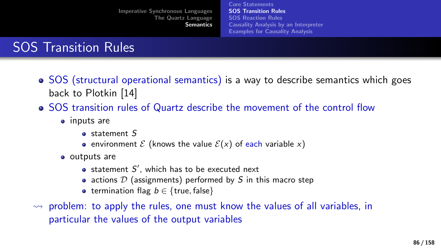[Core Statements](#page-73-0) [SOS Transition Rules](#page-84-0) [SOS Reaction Rules](#page-103-0) [Causality Analysis by an Interpreter](#page-125-0) [Examples for Causality Analysis](#page-134-0)

# SOS Transition Rules

- SOS (structural operational semantics) is a way to describe semantics which goes back to Plotkin [\[14\]](#page-156-0)
- SOS transition rules of Quartz describe the movement of the control flow
	- inputs are
		- a statement S
		- **e** environment  $\mathcal{E}$  (knows the value  $\mathcal{E}(x)$  of each variable x)
	- outputs are
		- statement  $S'$ , which has to be executed next
		- actions  $D$  (assignments) performed by  $S$  in this macro step
		- termination flag  $b \in \{true, false\}$
- $\rightarrow$  problem: to apply the rules, one must know the values of all variables, in particular the values of the output variables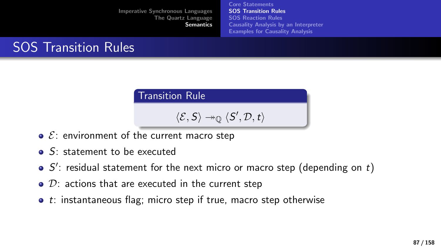[Core Statements](#page-73-0) [SOS Transition Rules](#page-84-0) [SOS Reaction Rules](#page-103-0) [Causality Analysis by an Interpreter](#page-125-0) [Examples for Causality Analysis](#page-134-0)

# SOS Transition Rules

Transition Rule

$$
\langle \mathcal{E}, \mathsf{S} \rangle \twoheadrightarrow_{\mathbb{Q}} \langle \mathsf{S}', \mathcal{D}, \mathsf{t} \rangle
$$

- $\bullet$   $\&$ : environment of the current macro step
- **S:** statement to be executed
- $S'$ : residual statement for the next micro or macro step (depending on t)
- $\bullet$   $\mathcal{D}$ : actions that are executed in the current step
- $\bullet$  t: instantaneous flag; micro step if true, macro step otherwise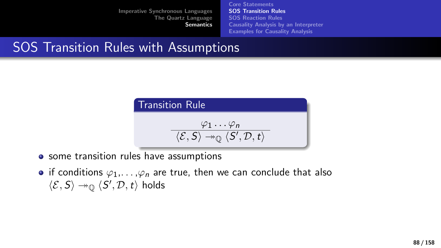[Core Statements](#page-73-0) [SOS Transition Rules](#page-84-0) [SOS Reaction Rules](#page-103-0) [Causality Analysis by an Interpreter](#page-125-0) [Examples for Causality Analysis](#page-134-0)

## SOS Transition Rules with Assumptions



- some transition rules have assumptions
- if conditions  $\varphi_1,\ldots,\varphi_n$  are true, then we can conclude that also  $\langle \mathcal{E}, \mathcal{S} \rangle \rightarrow_{\mathbb{Q}} \langle \mathcal{S}', \mathcal{D}, \mathcal{t} \rangle$  holds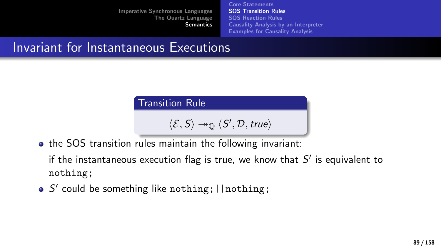[Core Statements](#page-73-0) [SOS Transition Rules](#page-84-0) [SOS Reaction Rules](#page-103-0) [Causality Analysis by an Interpreter](#page-125-0) [Examples for Causality Analysis](#page-134-0)

## Invariant for Instantaneous Executions

Transition Rule

 $\langle \mathcal{E}, S \rangle \rightarrow_{\mathbb{Q}} \langle S', \mathcal{D}, \text{true} \rangle$ 

• the SOS transition rules maintain the following invariant:

if the instantaneous execution flag is true, we know that  $S'$  is equivalent to nothing;

S' could be something like nothing; | | nothing;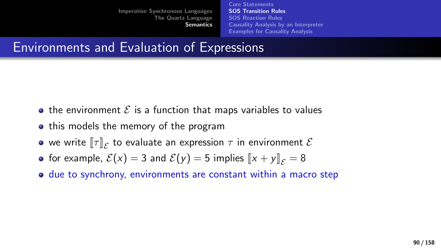[Core Statements](#page-73-0) [SOS Transition Rules](#page-84-0) [SOS Reaction Rules](#page-103-0) [Causality Analysis by an Interpreter](#page-125-0) [Examples for Causality Analysis](#page-134-0)

## Environments and Evaluation of Expressions

- the environment  $\mathcal E$  is a function that maps variables to values
- this models the memory of the program
- we write  $[\![\tau]\!]_{\mathcal{E}}$  to evaluate an expression  $\tau$  in environment  $\mathcal{E}$
- for example,  $\mathcal{E}(x) = 3$  and  $\mathcal{E}(y) = 5$  implies  $||x + y||_{\mathcal{E}} = 8$
- due to synchrony, environments are constant within a macro step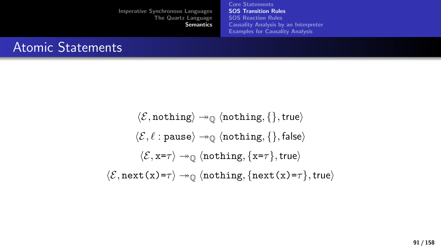[Core Statements](#page-73-0) [SOS Transition Rules](#page-84-0) [SOS Reaction Rules](#page-103-0) [Causality Analysis by an Interpreter](#page-125-0) [Examples for Causality Analysis](#page-134-0)

### Atomic Statements

 $\langle \mathcal{E}, \text{nothing} \rangle \rightarrow_{\mathbb{O}} \langle \text{nothing} \rangle$  $\langle \mathcal{E}, \ell : \text{pause} \rangle \rightarrow_{\mathbb{Q}} \langle \text{nothing, } \{ \} , \text{false} \rangle$  $\langle \mathcal{E}, x=\tau \rangle \rightarrow 0$  (nothing,  $\{x=\tau\}$ , true)  $\langle \mathcal{E}, \text{next}(x)=\tau \rangle \rightarrow 0$  (nothing, {next(x)= $\tau$ }, true)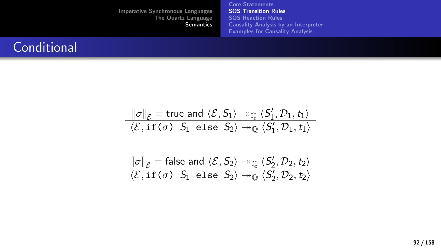[Core Statements](#page-73-0) [SOS Transition Rules](#page-84-0) [SOS Reaction Rules](#page-103-0) [Causality Analysis by an Interpreter](#page-125-0) [Examples for Causality Analysis](#page-134-0)

### **Conditional**

$$
\frac{\llbracket \sigma \rrbracket_{\mathcal{E}} = \text{true and } \langle \mathcal{E}, S_1 \rangle \twoheadrightarrow_{\mathbb{Q}} \langle S_1', \mathcal{D}_1, t_1 \rangle}{\langle \mathcal{E}, \text{if } (\sigma) \ S_1 \text{ else } S_2 \rangle \twoheadrightarrow_{\mathbb{Q}} \langle S_1', \mathcal{D}_1, t_1 \rangle}
$$

$$
\frac{\llbracket \sigma \rrbracket_{\mathcal{E}} = \text{false and } \langle \mathcal{E}, S_2 \rangle \twoheadrightarrow_{\mathbb{Q}} \langle S_2', \mathcal{D}_2, t_2 \rangle}{\langle \mathcal{E}, \text{if } (\sigma) \ S_1 \text{ else } S_2 \rangle \twoheadrightarrow_{\mathbb{Q}} \langle S_2', \mathcal{D}_2, t_2 \rangle}
$$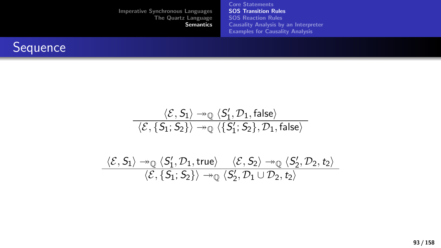[Core Statements](#page-73-0) [SOS Transition Rules](#page-84-0) [SOS Reaction Rules](#page-103-0) [Causality Analysis by an Interpreter](#page-125-0) [Examples for Causality Analysis](#page-134-0)



$$
\frac{\langle \mathcal{E}, \mathsf{S}_1 \rangle \twoheadrightarrow_{\mathbb{Q}} \langle \mathsf{S}'_1, \mathcal{D}_1, \mathsf{false} \rangle}{\langle \mathcal{E}, \{\mathsf{S}_1; \mathsf{S}_2\} \rangle \twoheadrightarrow_{\mathbb{Q}} \langle \{\mathsf{S}'_1; \mathsf{S}_2\}, \mathcal{D}_1, \mathsf{false} \rangle}
$$
\n
$$
\frac{\langle \mathcal{E}, \mathsf{S}_1 \rangle \twoheadrightarrow_{\mathbb{Q}} \langle \mathsf{S}'_1, \mathcal{D}_1, \mathsf{true} \rangle \wedge \langle \mathcal{E}, \mathsf{S}_2 \rangle \twoheadrightarrow_{\mathbb{Q}} \langle \mathsf{S}'_2, \mathcal{D}_2, \mathsf{t}_2 \rangle}{\langle \mathcal{E}, \{\mathsf{S}_1; \mathsf{S}_2\} \rangle \twoheadrightarrow_{\mathbb{Q}} \langle \mathsf{S}'_2, \mathcal{D}_1 \cup \mathcal{D}_2, \mathsf{t}_2 \rangle}
$$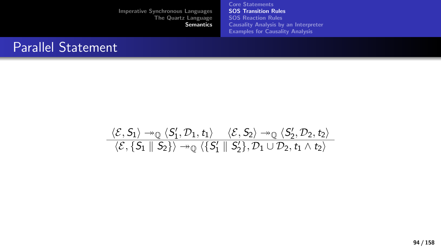[Core Statements](#page-73-0) [SOS Transition Rules](#page-84-0) [SOS Reaction Rules](#page-103-0) [Causality Analysis by an Interpreter](#page-125-0) [Examples for Causality Analysis](#page-134-0)

### Parallel Statement

$$
\frac{\langle \mathcal{E}, S_1 \rangle \twoheadrightarrow_{\mathbb{Q}} \langle S_1', \mathcal{D}_1, t_1 \rangle \quad \langle \mathcal{E}, S_2 \rangle \twoheadrightarrow_{\mathbb{Q}} \langle S_2', \mathcal{D}_2, t_2 \rangle}{\langle \mathcal{E}, \{S_1 \parallel S_2\} \rangle \twoheadrightarrow_{\mathbb{Q}} \langle \{S_1' \parallel S_2'\}, \mathcal{D}_1 \cup \mathcal{D}_2, t_1 \wedge t_2 \rangle}
$$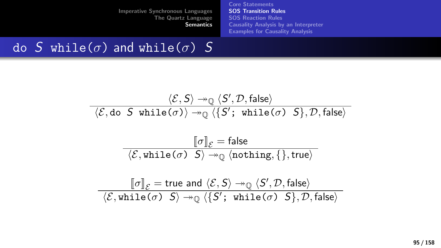[Core Statements](#page-73-0) [SOS Transition Rules](#page-84-0) [SOS Reaction Rules](#page-103-0) [Causality Analysis by an Interpreter](#page-125-0) [Examples for Causality Analysis](#page-134-0)

## do S while( $\sigma$ ) and while( $\sigma$ ) S

$$
\frac{\langle \mathcal{E}, \mathsf{S} \rangle \rightarrow_{\mathbb{Q}} \langle \mathsf{S}', \mathcal{D}, \mathsf{false} \rangle}{\langle \mathcal{E}, \mathsf{do} \ \mathsf{S} \ \text{while}(\sigma) \rangle \rightarrow_{\mathbb{Q}} \langle \{\mathsf{S}'; \ \text{while}(\sigma) \ \mathsf{S}\}, \mathcal{D}, \mathsf{false} \rangle}
$$

$$
\frac{\llbracket \sigma \rrbracket_{\mathcal{E}} = \mathsf{false}}{\langle \mathcal{E}, \mathsf{while}(\sigma) \mid S \rangle \rightarrow_{\mathbb{Q}} \langle \mathsf{nothinging}, \{\}, \mathsf{true} \rangle}
$$

$$
\textcolor{blue}{ \textcolor{blue}{ \big[ \sigma \big]_{\mathcal{E}} = \text{true and }\langle \mathcal{E}, \mathsf{S} \rangle \twoheadrightarrow_{\mathbb{Q}} \langle \mathsf{S}', \mathcal{D}, \mathsf{false} \rangle } } \textcolor{blue}{ \big\langle \mathcal{E}, \text{while} \text{ } (\sigma) \text{ } \mathsf{S} \big\rangle \twoheadrightarrow_{\mathbb{Q}} \big\langle \{\mathsf{S}'; \text{ while } (\sigma) \text{ } \mathsf{S}\}, \mathcal{D}, \mathsf{false} \big\rangle }
$$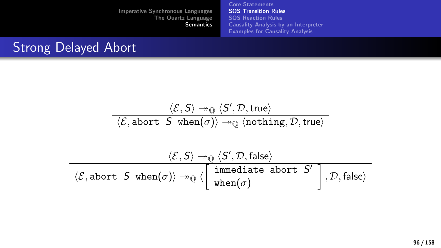[Core Statements](#page-73-0) [SOS Transition Rules](#page-84-0) [SOS Reaction Rules](#page-103-0) [Causality Analysis by an Interpreter](#page-125-0) [Examples for Causality Analysis](#page-134-0)

## Strong Delayed Abort

$$
\dfrac{\langle \mathcal{E}, \mathsf{S} \rangle \twoheadrightarrow_{\mathbb{Q}} \langle \mathsf{S}', \mathcal{D}, \mathsf{true} \rangle}{\langle \mathcal{E}, \mathsf{abort} \ \ \mathsf{S} \ \ \mathsf{when}(\sigma) \rangle \twoheadrightarrow_{\mathbb{Q}} \langle \mathsf{nothing} \mathsf{inning}, \mathcal{D}, \mathsf{true} \rangle}
$$

$$
\dfrac{\langle \mathcal{E}, S \rangle \twoheadrightarrow_{\mathbb{Q}} \langle S', \mathcal{D}, \text{false} \rangle}{\langle \mathcal{E}, \text{abort } S \text{ when}(\sigma) \rangle \twoheadrightarrow_{\mathbb{Q}} \langle \begin{bmatrix} \text{immediate abort } S' \\ \text{when}(\sigma) \end{bmatrix}, \mathcal{D}, \text{false} \rangle}
$$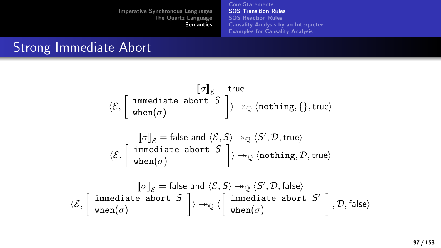[Core Statements](#page-73-0) [SOS Transition Rules](#page-84-0) [SOS Reaction Rules](#page-103-0) [Causality Analysis by an Interpreter](#page-125-0) [Examples for Causality Analysis](#page-134-0)

## Strong Immediate Abort

| $[\![\sigma]\!]_{\mathcal{E}} = \mathsf{true}$                                                                                                                                                                                                                                                                                                                                                                                                                                                                                          |  |  |  |
|-----------------------------------------------------------------------------------------------------------------------------------------------------------------------------------------------------------------------------------------------------------------------------------------------------------------------------------------------------------------------------------------------------------------------------------------------------------------------------------------------------------------------------------------|--|--|--|
| $\overline{\langle \mathcal{E}, \begin{bmatrix} \text{immediate abort } S \\ \text{when}(\sigma) \end{bmatrix}} \rangle \rightarrow_{\mathbb{Q}} \langle \text{nothing}, \{\}, \text{true}\rangle$                                                                                                                                                                                                                                                                                                                                      |  |  |  |
|                                                                                                                                                                                                                                                                                                                                                                                                                                                                                                                                         |  |  |  |
| $\label{eq:21} \begin{array}{c} \quad \  \  \, \left\  \sigma \right\ _{\mathcal{E}}=\text{false and }\left\langle \mathcal{E},\mathsf{S} \right\rangle \twoheadrightarrow_{\mathbb{Q}} \left\langle \mathsf{S}',\mathcal{D},\textsf{true} \right\rangle \\ \text{\hspace{0.5cm}} \left\langle \mathcal{E}, \left\lceil \begin{array}{cl} \text{immediate abort } \mathsf{S} \\ \text{when}(\sigma) \end{array} \right\rceil \right\rangle \twoheadrightarrow_{\mathbb{Q}} \left\langle \text{nothing, true} \right\rangle \end{array}$ |  |  |  |
|                                                                                                                                                                                                                                                                                                                                                                                                                                                                                                                                         |  |  |  |
| $[\![\sigma]\!]_{\mathcal{E}} = \text{false}$ and $\langle \mathcal{E}, \mathcal{S} \rangle \rightarrow_{\mathbb{Q}} \langle \mathcal{S}', \mathcal{D}, \mathsf{false} \rangle$                                                                                                                                                                                                                                                                                                                                                         |  |  |  |
| $\overline{\langle \mathcal{E}, \begin{array}{ l }\end{array}}\xspace{1mmediate abort S}\nightharpoonup\overline{\mathcal{S}}\xspace{1mmediate abort S'\nightharpoonup\overline{\mathcal{S}}\xspace{1mmediate abort S'\nightharpoonup\overline{\mathcal{S}}\xspace}\n\overline{\langle \mathcal{D}, \mathsf{false} \rangle}\xspace{1mmediate abort S'\nightharpoonup\overline{\mathcal{S}}\xspace\n\end{array}\n\right \xspace{1mm}$                                                                                                    |  |  |  |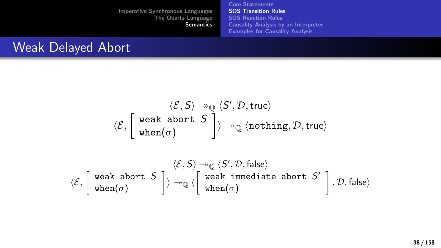[Core Statements](#page-73-0) [SOS Transition Rules](#page-84-0) [SOS Reaction Rules](#page-103-0) [Causality Analysis by an Interpreter](#page-125-0) [Examples for Causality Analysis](#page-134-0)

## Weak Delayed Abort

$$
\frac{\langle \mathcal{E}, \mathsf{S} \rangle \twoheadrightarrow_{\mathbb{Q}} \langle \mathsf{S}', \mathcal{D}, \mathsf{true} \rangle}{\langle \mathcal{E}, \begin{bmatrix} \text{ weak abort } \mathsf{S} \\ \text{when}(\sigma) \end{bmatrix} \rangle \twoheadrightarrow_{\mathbb{Q}} \langle \text{nothing, True} \rangle}
$$

$$
\overline{\langle \mathcal{E}, \left[\begin{array}{c}\text{weak abort } \mathcal{S} \\ \text{when}(\sigma)\end{array}\right]\rangle \xrightarrow[]{} \mathbb{Q}} \langle \left[\begin{array}{c}\langle \mathcal{E}, \mathcal{S}\rangle \xrightarrow[]{} \mathbb{Q} \langle \mathcal{S}', \mathcal{D}, \text{false}\rangle\\\text{weak immediate abort } \mathcal{S}'\end{array}\right], \mathcal{D}, \text{false}\rangle}
$$

98 / 158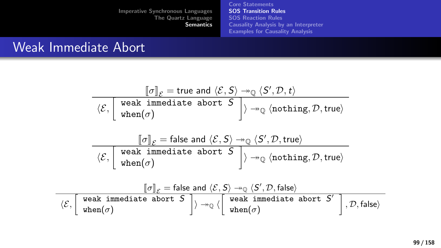[Core Statements](#page-73-0) [SOS Transition Rules](#page-84-0) [SOS Reaction Rules](#page-103-0) [Causality Analysis by an Interpreter](#page-125-0) [Examples for Causality Analysis](#page-134-0)

## Weak Immediate Abort

$$
\begin{array}{c}\n\boxed{[\sigma]_{\mathcal{E}} = \text{true and } \langle \mathcal{E}, \mathsf{S} \rangle \twoheadrightarrow_{\mathbb{Q}} \langle \mathsf{S}', \mathcal{D}, \mathsf{t} \rangle} \\
\boxed{\langle \mathcal{E}, \boxed{\text{weak immediate abort S}} \rangle \twoheadrightarrow_{\mathbb{Q}} \langle \text{nothing, \mathsf{F}} \rangle} \\
\boxed{\langle \mathcal{E}, \boxed{\text{weak immediate abort S}} \rangle \twoheadrightarrow_{\mathbb{Q}} \langle \mathsf{S}', \mathcal{D}, \mathsf{true} \rangle} \\
\boxed{\langle \mathcal{E}, \boxed{\text{weak immediate abort S}} \rangle \twoheadrightarrow_{\mathbb{Q}} \langle \text{nothing, \mathsf{F}} \rangle} \\
\boxed{\langle \mathcal{E}, \boxed{\text{weak immediate abort S}} \rangle \twoheadrightarrow_{\mathbb{Q}} \langle \text{nothing, \mathsf{F}} \rangle} \\
\boxed{\langle \mathcal{E}, \boxed{\text{weak immediate abort S}} \rangle \twoheadrightarrow_{\mathbb{Q}} \langle \mathsf{S}', \mathcal{D}, \mathsf{false} \rangle} \\
\boxed{\langle \mathcal{E}, \boxed{\text{weak immediate abort S}} \rangle \twoheadrightarrow_{\mathbb{Q}} \langle \boxed{\text{weak immediate abort S}^{'}} \rangle, \mathcal{D}, \mathsf{false}} \\
\boxed{\langle \mathcal{E}, \boxed{\text{when}(\sigma)}}\n\end{array}
$$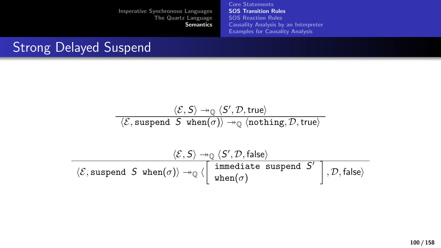[Core Statements](#page-73-0) [SOS Transition Rules](#page-84-0) [SOS Reaction Rules](#page-103-0) [Causality Analysis by an Interpreter](#page-125-0) [Examples for Causality Analysis](#page-134-0)

## Strong Delayed Suspend

$$
\frac{\langle \mathcal{E}, \mathsf{S} \rangle \rightarrow_{\mathbb{Q}} \langle \mathsf{S}', \mathcal{D}, \mathsf{true} \rangle}{\langle \mathcal{E}, \text{suspended } \mathsf{S} \text{ when}(\sigma) \rangle \rightarrow_{\mathbb{Q}} \langle \text{nothing,} \mathcal{D}, \mathsf{true} \rangle}
$$

$$
\dfrac{\langle \mathcal{E}, \mathsf{S} \rangle \twoheadrightarrow_{\mathbb{Q}} \langle \mathsf{S}', \mathcal{D}, \mathsf{false} \rangle}{\langle \mathcal{E}, \text{suspend } \mathsf{S} \text{ when}(\sigma) \rangle \twoheadrightarrow_{\mathbb{Q}} \langle \begin{bmatrix} \text{immediate suspend } \mathsf{S}' \\ \text{when}(\sigma) \end{bmatrix}, \mathcal{D}, \mathsf{false} \rangle}
$$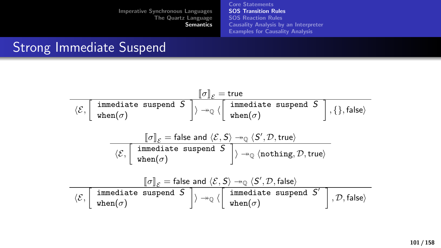[Core Statements](#page-73-0) [SOS Transition Rules](#page-84-0) [SOS Reaction Rules](#page-103-0) [Causality Analysis by an Interpreter](#page-125-0) [Examples for Causality Analysis](#page-134-0)

## Strong Immediate Suspend

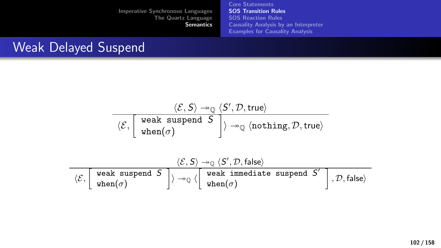[Core Statements](#page-73-0) [SOS Transition Rules](#page-84-0) [SOS Reaction Rules](#page-103-0) [Causality Analysis by an Interpreter](#page-125-0) [Examples for Causality Analysis](#page-134-0)

## Weak Delayed Suspend

$$
\dfrac{\langle \mathcal{E}, \mathsf{S} \rangle \twoheadrightarrow_{\mathbb{Q}} \langle \mathsf{S}', \mathcal{D}, \mathsf{true} \rangle}{\langle \mathcal{E}, \left[ \begin{array}{c} \mathsf{weak}\ \mathsf{supend}\ \mathsf{S} \\\mathsf{when}(\sigma) \end{array} \right] \rangle \twoheadrightarrow_{\mathbb{Q}} \langle \mathsf{nothinging}, \mathcal{D}, \mathsf{true} \rangle}
$$

$$
\dfrac{\langle \mathcal{E}, \mathsf{S} \rangle \twoheadrightarrow_{\mathbb{Q}} \langle \mathsf{S}', \mathcal{D}, \mathsf{false} \rangle}{\langle \mathcal{E}, \begin{bmatrix} \text{ weak }\text{supend } \mathsf{S} \end{bmatrix} \rangle \twoheadrightarrow_{\mathbb{Q}} \langle \begin{bmatrix} \text{weak }\text{immediate }\text{supend } \mathsf{S}' \end{bmatrix}, \mathcal{D}, \mathsf{false} \rangle}
$$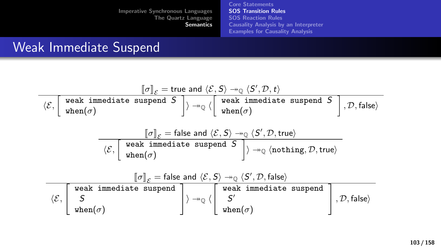[Core Statements](#page-73-0) [SOS Transition Rules](#page-84-0) [SOS Reaction Rules](#page-103-0) [Causality Analysis by an Interpreter](#page-125-0) [Examples for Causality Analysis](#page-134-0)

## Weak Immediate Suspend

÷,

$$
\begin{array}{c}\n\left[\sigma\right]_{\mathcal{E}} = \text{true and } \langle \mathcal{E}, \mathsf{S} \rangle \rightarrow_{\mathbb{Q}} \langle \mathsf{S}', \mathcal{D}, t \rangle \\
\langle \mathcal{E}, \left[\begin{array}{c} \text{weak immediate suspend } \mathsf{S} \\ \text{when}(\sigma) \end{array}\right] \rangle \rightarrow_{\mathbb{Q}} \langle \left[\begin{array}{c} \text{weak immediate suspend } \mathsf{S} \\ \text{when}(\sigma) \end{array}\right], \mathcal{D}, \text{false} \rangle \\
\hline\n\left[\sigma\right]_{\mathcal{E}} = \text{false and } \langle \mathcal{E}, \mathsf{S} \rangle \rightarrow_{\mathbb{Q}} \langle \mathsf{S}', \mathcal{D}, \text{true} \rangle \\
\hline\n\left[\sigma\right]_{\mathcal{E}} = \text{false and } \langle \mathcal{E}, \mathsf{S} \rangle \rightarrow_{\mathbb{Q}} \langle \mathsf{S}', \mathcal{D}, \text{true} \rangle \\
\hline\n\left[\begin{array}{c} \text{weak immediate suspend } \mathsf{S} \\ \text{when}(\sigma) \end{array}\right] \rangle \rightarrow_{\mathbb{Q}} \langle \text{nothing, } \mathsf{Infinite} \rangle \\
\hline\n\left[\begin{array}{c} \langle \mathcal{E}, \left[\begin{array}{c} \text{weak immediate suspend } \mathsf{S}, \mathsf{S} \rangle \rightarrow_{\mathbb{Q}} \langle \mathsf{S}', \mathcal{D}, \text{false} \rangle \\ \mathsf{S}' \end{array}\right], \mathsf{true} \rangle \\
\hline\n\left[\begin{array}{c} \text{weak immediate suspend } \mathsf{S}' \\ \mathsf{S}' \\ \text{when}(\sigma) \end{array}\right] \rangle \rightarrow_{\mathbb{Q}} \langle \left[\begin{array}{c} \text{weak immediate suspend } \mathsf{S}' \\ \mathsf{S}' \\ \text{when}(\sigma) \end{array}\right], \mathcal{D}, \text{false} \rangle\n\end{array}\right]\n\end{array}
$$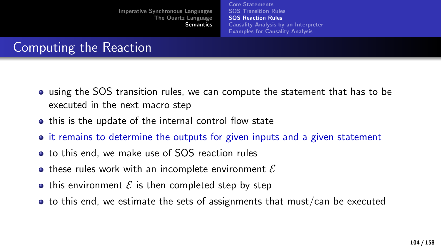[Core Statements](#page-73-0) [SOS Transition Rules](#page-84-0) [SOS Reaction Rules](#page-103-0) [Causality Analysis by an Interpreter](#page-125-0) [Examples for Causality Analysis](#page-134-0)

# <span id="page-103-0"></span>Computing the Reaction

- using the SOS transition rules, we can compute the statement that has to be executed in the next macro step
- this is the update of the internal control flow state
- it remains to determine the outputs for given inputs and a given statement
- to this end, we make use of SOS reaction rules
- these rules work with an incomplete environment  $\mathcal E$
- this environment  $\mathcal E$  is then completed step by step
- $\bullet$  to this end, we estimate the sets of assignments that must/can be executed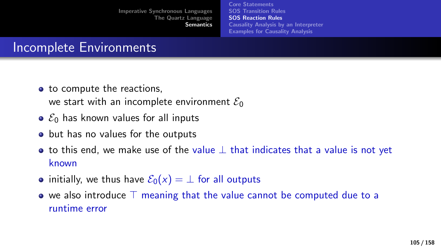[Core Statements](#page-73-0) [SOS Transition Rules](#page-84-0) [SOS Reaction Rules](#page-103-0) [Causality Analysis by an Interpreter](#page-125-0) [Examples for Causality Analysis](#page-134-0)

# Incomplete Environments

• to compute the reactions.

we start with an incomplete environment  $\mathcal{E}_0$ 

- $\bullet$   $\mathcal{E}_0$  has known values for all inputs
- but has no values for the outputs
- to this end, we make use of the value  $\perp$  that indicates that a value is not yet known
- initially, we thus have  $\mathcal{E}_0(x) = \perp$  for all outputs
- $\bullet$  we also introduce  $\top$  meaning that the value cannot be computed due to a runtime error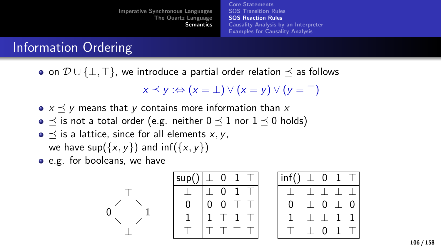[Core Statements](#page-73-0) [SOS Transition Rules](#page-84-0) [SOS Reaction Rules](#page-103-0) [Causality Analysis by an Interpreter](#page-125-0) [Examples for Causality Analysis](#page-134-0)

# Information Ordering

• on  $\mathcal{D} \cup \{\perp,\perp\}$ , we introduce a partial order relation  $\prec$  as follows

$$
x \preceq y :\Leftrightarrow (x = \bot) \vee (x = y) \vee (y = \top)
$$

- $x \preceq y$  means that y contains more information than x
- $\preceq$  is not a total order (e.g. neither  $0 \preceq 1$  nor  $1 \preceq 0$  holds)
- $\bullet \preceq$  is a lattice, since for all elements x, y, we have  $\sup(\{x, y\})$  and  $\inf(\{x, y\})$

⊥

 $\top$ 

e.g. for booleans, we have

$$
0 \leftarrow 1 \qquad \begin{array}{c} \text{sup}() \perp \text{ 0 1 T} \\ \perp \text{ 0 0 T T} \\ 0 \qquad \text{ 0 0 T T} \\ \perp \end{array}
$$

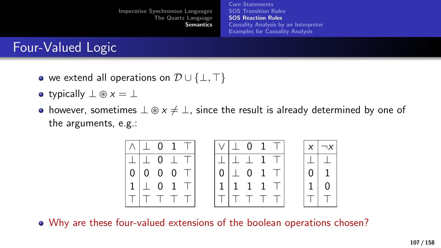[Imperative Synchronous Languages](#page-2-0) [The Quartz Language](#page-15-0) **[Semantics](#page-73-0)** [Core Statements](#page-73-0) [SOS Transition Rules](#page-84-0) [SOS Reaction Rules](#page-103-0) [Causality Analysis by an Interpreter](#page-125-0) [Examples for Causality Analysis](#page-134-0)

## Four-Valued Logic

- we extend all operations on  $\mathcal{D} \cup \{\perp, \top\}$
- typically  $\perp \circledast x = \perp$
- however, sometimes  $\perp \circledast x \neq \perp$ , since the result is already determined by one of the arguments, e.g.:



Why are these four-valued extensions of the boolean operations chosen?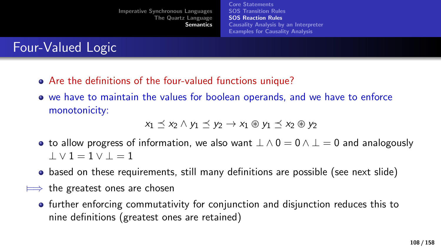[Core Statements](#page-73-0) [SOS Transition Rules](#page-84-0) [SOS Reaction Rules](#page-103-0) [Causality Analysis by an Interpreter](#page-125-0) [Examples for Causality Analysis](#page-134-0)

Four-Valued Logic

- Are the definitions of the four-valued functions unique?
- we have to maintain the values for boolean operands, and we have to enforce monotonicity:

$$
x_1 \preceq x_2 \wedge y_1 \preceq y_2 \rightarrow x_1 \circledast y_1 \preceq x_2 \circledast y_2
$$

- to allow progress of information, we also want  $\perp \wedge 0 = 0 \wedge \perp = 0$  and analogously  $1 \vee 1 = 1 \vee 1 = 1$
- based on these requirements, still many definitions are possible (see next slide)
- $\implies$  the greatest ones are chosen
	- further enforcing commutativity for conjunction and disjunction reduces this to nine definitions (greatest ones are retained)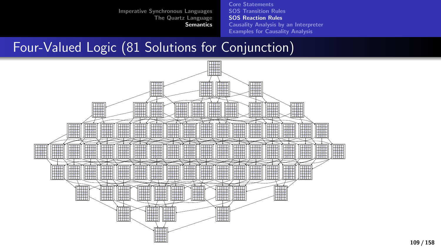[Core Statements](#page-73-0) [SOS Transition Rules](#page-84-0) [SOS Reaction Rules](#page-103-0) [Causality Analysis by an Interpreter](#page-125-0) [Examples for Causality Analysis](#page-134-0)

## Four-Valued Logic (81 Solutions for Conjunction)

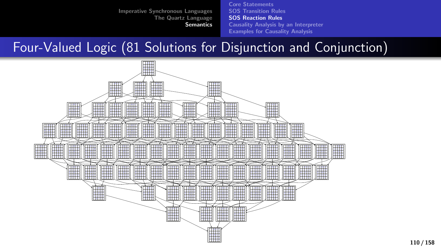[Core Statements](#page-73-0) [SOS Transition Rules](#page-84-0) [SOS Reaction Rules](#page-103-0) [Causality Analysis by an Interpreter](#page-125-0) [Examples for Causality Analysis](#page-134-0)

## Four-Valued Logic (81 Solutions for Disjunction and Conjunction)

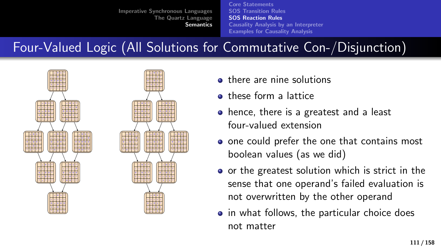[Core Statements](#page-73-0) [SOS Transition Rules](#page-84-0) [SOS Reaction Rules](#page-103-0) [Causality Analysis by an Interpreter](#page-125-0) [Examples for Causality Analysis](#page-134-0)

# Four-Valued Logic (All Solutions for Commutative Con-/Disjunction)



- **o** there are nine solutions
- **a** these form a lattice
- hence, there is a greatest and a least four-valued extension
- o one could prefer the one that contains most boolean values (as we did)
- o or the greatest solution which is strict in the sense that one operand's failed evaluation is not overwritten by the other operand
- in what follows, the particular choice does not matter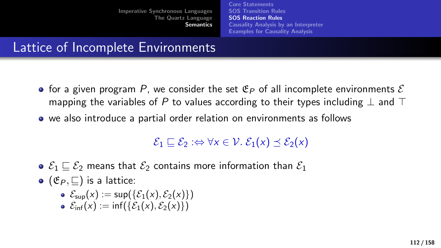[Core Statements](#page-73-0) [SOS Transition Rules](#page-84-0) [SOS Reaction Rules](#page-103-0) [Causality Analysis by an Interpreter](#page-125-0) [Examples for Causality Analysis](#page-134-0)

## Lattice of Incomplete Environments

- for a given program P, we consider the set  $\mathfrak{E}_P$  of all incomplete environments  $\mathcal E$ mapping the variables of P to values according to their types including  $\perp$  and  $\perp$
- we also introduce a partial order relation on environments as follows

### $\mathcal{E}_1 \sqsubset \mathcal{E}_2 : \Leftrightarrow \forall x \in \mathcal{V}$ .  $\mathcal{E}_1(x) \prec \mathcal{E}_2(x)$

- $\bullet \mathcal{E}_1 \sqsubset \mathcal{E}_2$  means that  $\mathcal{E}_2$  contains more information than  $\mathcal{E}_1$
- $\bullet$  ( $\mathfrak{E}_P$ ,  $\Box$ ) is a lattice:
	- $\mathcal{E}_{\text{sun}}(x) := \sup(\{\mathcal{E}_1(x), \mathcal{E}_2(x)\})$
	- $\epsilon$   $\mathcal{E}_{\text{inf}}(x) := \inf(\{\mathcal{E}_1(x), \mathcal{E}_2(x)\})$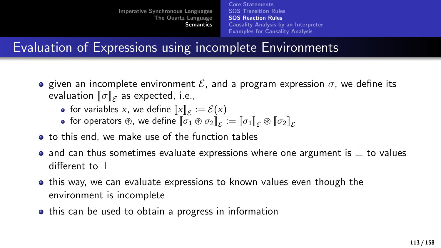[Core Statements](#page-73-0) [SOS Transition Rules](#page-84-0) [SOS Reaction Rules](#page-103-0) [Causality Analysis by an Interpreter](#page-125-0) [Examples for Causality Analysis](#page-134-0)

## Evaluation of Expressions using incomplete Environments

- **e** given an incomplete environment  $\mathcal{E}$ , and a program expression  $\sigma$ , we define its evaluation  $[\![\sigma]\!]_{\mathcal{E}}$  as expected, i.e.,<br>as for variables  $\kappa$  , we define  $[\![\omega]\!]$ 
	- for variables x, we define  $\llbracket x \rrbracket_{\mathcal{E}} := \mathcal{E}(x)$ <br>for operators  $\circledast$ , we define  $\llbracket \sigma_x \circledast \sigma_y \rrbracket$
	- for operators  $\circledast$ , we define  $\llbracket \sigma_1 \circledast \sigma_2 \rrbracket_{\mathcal{E}} := \llbracket \sigma_1 \rrbracket_{\mathcal{E}} \circledast \llbracket \sigma_2 \rrbracket_{\mathcal{E}}$
- to this end, we make use of the function tables
- and can thus sometimes evaluate expressions where one argument is  $\perp$  to values different to ⊥
- this way, we can evaluate expressions to known values even though the environment is incomplete
- this can be used to obtain a progress in information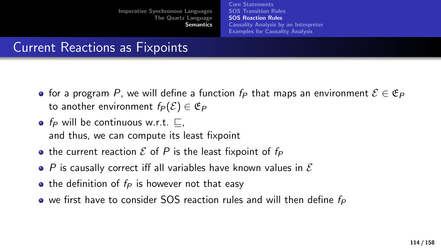[Core Statements](#page-73-0) [SOS Transition Rules](#page-84-0) [SOS Reaction Rules](#page-103-0) [Causality Analysis by an Interpreter](#page-125-0) [Examples for Causality Analysis](#page-134-0)

## Current Reactions as Fixpoints

- for a program P, we will define a function  $f_P$  that maps an environment  $\mathcal{E} \in \mathfrak{E}_P$ to another environment  $f_P(\mathcal{E}) \in \mathfrak{E}_P$
- f<sub>P</sub> will be continuous w.r.t.  $\Box$ , and thus, we can compute its least fixpoint
- the current reaction  $\mathcal E$  of P is the least fixpoint of  $f_P$
- $\bullet$  P is causally correct iff all variables have known values in  $\mathcal E$
- the definition of  $f_P$  is however not that easy
- $\bullet$  we first have to consider SOS reaction rules and will then define  $f_P$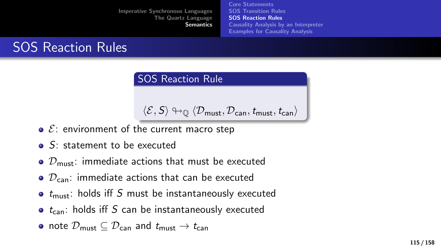[Core Statements](#page-73-0) [SOS Transition Rules](#page-84-0) [SOS Reaction Rules](#page-103-0) [Causality Analysis by an Interpreter](#page-125-0) [Examples for Causality Analysis](#page-134-0)

# SOS Reaction Rules

### SOS Reaction Rule

$$
\langle \mathcal{E}, \mathsf{S} \rangle \looparrowright_{\mathbb{Q}} \langle \mathcal{D}_{\mathsf{must}}, \mathcal{D}_{\mathsf{can}}, \mathit{t}_{\mathsf{must}}, \mathit{t}_{\mathsf{can}} \rangle
$$

- $\bullet$   $\&$ : environment of the current macro step
- **o** S: statement to be executed
- $\bullet$   $\mathcal{D}_{\text{must}}$ : immediate actions that must be executed
- $\bullet$   $\mathcal{D}_{\text{can}}$ : immediate actions that can be executed
- $\bullet$   $t_{\text{must}}$ : holds iff S must be instantaneously executed
- $\bullet$  t<sub>can</sub>: holds iff S can be instantaneously executed
- note  $\mathcal{D}_{\text{must}} \subset \mathcal{D}_{\text{can}}$  and  $t_{\text{must}} \to t_{\text{can}}$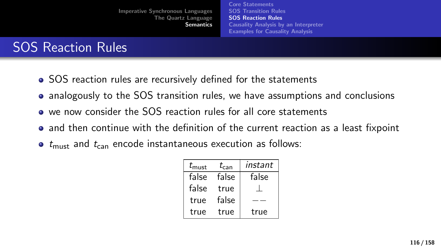[Core Statements](#page-73-0) [SOS Transition Rules](#page-84-0) [SOS Reaction Rules](#page-103-0) [Causality Analysis by an Interpreter](#page-125-0) [Examples for Causality Analysis](#page-134-0)

## SOS Reaction Rules

- SOS reaction rules are recursively defined for the statements
- analogously to the SOS transition rules, we have assumptions and conclusions
- we now consider the SOS reaction rules for all core statements
- and then continue with the definition of the current reaction as a least fixpoint
- $\bullet$  t<sub>must</sub> and  $t_{\text{can}}$  encode instantaneous execution as follows:

| $t_{\rm must}$ | $t_{\rm can}$ | instant |
|----------------|---------------|---------|
| false          | false         | false   |
| false          | true          |         |
| true           | false         |         |
| true           | true          | true    |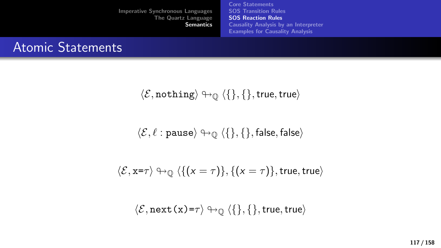[Core Statements](#page-73-0) [SOS Transition Rules](#page-84-0) [SOS Reaction Rules](#page-103-0) [Causality Analysis by an Interpreter](#page-125-0) [Examples for Causality Analysis](#page-134-0)

## Atomic Statements

$$
\langle \mathcal{E}, \mathtt{nothing} \rangle \looparrowright \mathbb{Q} \ \langle \{\}, \{\}, \mathsf{true}, \mathsf{true} \rangle
$$

$$
\langle \mathcal{E}, \ell : \texttt{pause} \rangle \looparrowright_{\mathbb{Q}} \langle \{\}, \{\}, \texttt{false}, \texttt{false} \rangle
$$

$$
\langle \mathcal{E}, x = \tau \rangle \leftrightarrow_{\mathbb{Q}} \langle \{ (x = \tau) \}, \{ (x = \tau) \}, \text{true}, \text{true} \rangle
$$

$$
\langle \mathcal{E}, \texttt{next(x)}\texttt{=}\tau \rangle \looparrowright \mathbb{Q} \ \langle \{\}, \{\}, \texttt{true}, \texttt{true} \rangle
$$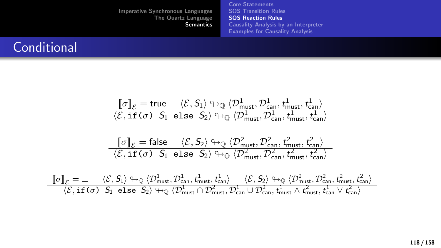[Core Statements](#page-73-0) [SOS Transition Rules](#page-84-0) [SOS Reaction Rules](#page-103-0) [Causality Analysis by an Interpreter](#page-125-0) [Examples for Causality Analysis](#page-134-0)

## **Conditional**

$$
\frac{\llbracket \sigma \rrbracket_{\mathcal{E}} = true \quad \langle \mathcal{E}, \mathsf{S}_1 \rangle \looparrowright_Q \langle \mathcal{D}_{\text{must}}^1, \mathcal{D}_{\text{can}}^1, t_{\text{must}}^1, t_{\text{can}}^1 \rangle}{\langle \mathcal{E}, \text{if } (\sigma) \ \mathsf{S}_1 \text{ else } \mathsf{S}_2 \rangle \looparrowright_Q \langle \mathcal{D}_{\text{must}}^1, \mathcal{D}_{\text{can}}^1, t_{\text{must}}^1, t_{\text{can}}^1 \rangle} \\ \frac{\llbracket \sigma \rrbracket_{\mathcal{E}} = \text{false} \quad \langle \mathcal{E}, \mathsf{S}_2 \rangle \looparrowright_Q \langle \mathcal{D}_{\text{must}}^2, \mathcal{D}_{\text{can}}^2, t_{\text{must}}^2, t_{\text{can}}^2 \rangle}{\langle \mathcal{E}, \text{if } (\sigma) \ \mathsf{S}_1 \text{ else } \mathsf{S}_2 \rangle \looparrowright_Q \langle \mathcal{D}_{\text{must}}^2, \mathcal{D}_{\text{can}}^2, t_{\text{must}}^2, t_{\text{can}}^2 \rangle} \\ \frac{\llbracket \sigma \rrbracket_{\mathcal{E}} = \bot \quad \langle \mathcal{E}, \mathsf{S}_1 \rangle \looparrowright_Q \langle \mathcal{D}_{\text{must}}^1, \mathcal{D}_{\text{can}}^1, t_{\text{can}}^1 \rangle \quad \langle \mathcal{E}, \mathsf{S}_2 \rangle \looparrowright_Q \langle \mathcal{D}_{\text{must}}^2, \mathcal{D}_{\text{can}}^2, t_{\text{must}}^2, \mathcal{D}_{\text{can}}^2, t_{\text{rens}}^2, t_{\text{can}}^2 \rangle}{\langle \mathcal{E}, \text{if } (\sigma) \ \mathsf{S}_1 \text{ else } \mathsf{S}_2 \rangle \looparrowright_Q \langle \mathcal{D}_{\text{must}}^1 \cap \mathcal{D}_{\text{must}}^2, \mathcal{D}_{\text{can}}^1, t_{\text{must}}^1 \land t_{\text{must}}^2, t_{\text{can}}^2 \rangle} \\
$$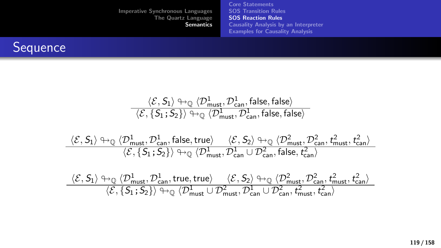[Imperative Synchronous Languages](#page-2-0) [The Quartz Language](#page-15-0) **[Semantics](#page-73-0)** [Core Statements](#page-73-0) [SOS Transition Rules](#page-84-0) [SOS Reaction Rules](#page-103-0) [Causality Analysis by an Interpreter](#page-125-0) [Examples for Causality Analysis](#page-134-0)



$$
\frac{\langle \mathcal{E}, \mathsf{S}_1 \rangle \looparrowright \langle \mathcal{D}^1_\mathsf{must}, \mathcal{D}^1_\mathsf{can}, \mathsf{false}, \mathsf{false} \rangle}{\langle \mathcal{E}, \{\mathsf{S}_1; \mathsf{S}_2\} \rangle \looparrowright \langle \mathcal{D}^1_\mathsf{must}, \mathcal{D}^1_\mathsf{can}, \mathsf{false}, \mathsf{false} \rangle}
$$

$$
\frac{\langle \mathcal{E}, S_1 \rangle \looparrowright \mathbb{Q}}{\langle \mathcal{E}, \{S_1; S_2\} \rangle \looparrowright \mathbb{Q}} \frac{\langle \mathcal{D}_\text{must}^1, \mathcal{D}_\text{can}^1, \text{false}, \text{true} \rangle}{\langle \mathcal{E}, \{S_1; S_2\} \rangle \looparrowright \mathbb{Q}} \frac{\langle \mathcal{E}, S_2 \rangle \looparrowright \mathbb{Q}}{\langle \mathcal{D}_\text{must}^1, \mathcal{D}_\text{can}^2 \cup \mathcal{D}_\text{can}^2, \text{false}, \, t_\text{can}^2 \rangle}.
$$

$$
\frac{\langle \mathcal{E}, S_1 \rangle \looparrowright \langle \mathcal{D}_\text{must}^1, \mathcal{D}_\text{can}^1, \text{true}, \text{true} \rangle}{\langle \mathcal{E}, \{S_1; S_2\} \rangle \looparrowright \langle \mathcal{D}_\text{must}^1 \cup \mathcal{D}_\text{must}^2, \mathcal{D}_\text{can}^1, \mathcal{D}_\text{can}^2, \mathit{t}_\text{start}^2, \mathit{t}_\text{can}^2 \rangle}}{\langle \mathcal{E}, \{S_1; S_2\} \rangle \looparrowright \langle \mathcal{D}_\text{must}^1 \cup \mathcal{D}_\text{must}^2, \mathcal{D}_\text{can}^1, \mathit{t}_\text{must}^2, \mathit{t}_\text{can}^2 \rangle}}
$$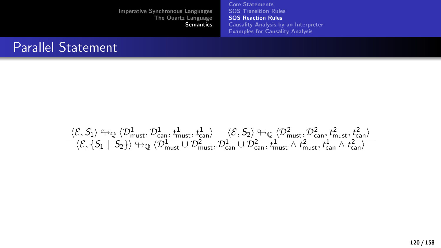[Core Statements](#page-73-0) [SOS Transition Rules](#page-84-0) [SOS Reaction Rules](#page-103-0) [Causality Analysis by an Interpreter](#page-125-0) [Examples for Causality Analysis](#page-134-0)

### Parallel Statement

 $\langle \mathcal{E}, \mathcal{S}_1 \rangle \leftrightarrow_{\mathbb{Q}} \langle \mathcal{D}_{\text{must}}^1, \mathcal{D}_{\text{can}}^1, t_{\text{must}}^1, t_{\text{can}}^1 \rangle \quad \langle \mathcal{E}, \mathcal{S}_2 \rangle \leftrightarrow_{\mathbb{Q}} \langle \mathcal{D}_{\text{must}}^2, \mathcal{D}_{\text{can}}^2, t_{\text{must}}^2, t_{\text{can}}^2 \rangle$  $\langle \mathcal{E}, \{ \mathsf{S}_1 \parallel \mathsf{S}_2 \} \rangle \looparrowright_{\mathbb{Q}} \langle \mathcal{D}_{\mathsf{must}}^1 \cup \mathcal{D}_{\mathsf{must}}^2, \mathcal{D}_{\mathsf{can}}^1 \cup \mathcal{D}_{\mathsf{can}}^2, t_{\mathsf{must}}^1 \wedge t_{\mathsf{must}}^2, t_{\mathsf{can}}^1 \wedge t_{\mathsf{can}}^2 \rangle$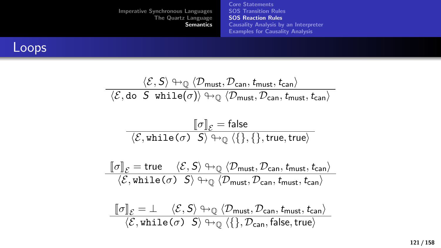[Imperative Synchronous Languages](#page-2-0) [The Quartz Language](#page-15-0) **[Semantics](#page-73-0)** [Core Statements](#page-73-0) [SOS Transition Rules](#page-84-0) [SOS Reaction Rules](#page-103-0) [Causality Analysis by an Interpreter](#page-125-0) [Examples for Causality Analysis](#page-134-0)

### Loops

$$
\frac{\langle \mathcal{E}, S \rangle \oplus_{\mathbb{Q}} \langle \mathcal{D}_{\text{must}}, \mathcal{D}_{\text{can}}, t_{\text{must}}, t_{\text{can}} \rangle}{\langle \mathcal{E}, do \ S \ while(\sigma) \rangle \oplus_{\mathbb{Q}} \langle \mathcal{D}_{\text{must}}, \mathcal{D}_{\text{can}}, t_{\text{must}}, t_{\text{can}} \rangle}
$$
\n
$$
\frac{\llbracket \sigma \rrbracket_{\mathcal{E}} = \text{false}}{\langle \mathcal{E}, \text{while}(\sigma) \ S \rangle \oplus_{\mathbb{Q}} \langle \{\}, \{\}, \text{true}, \text{true} \rangle}
$$
\n
$$
\frac{\llbracket \sigma \rrbracket_{\mathcal{E}} = \text{true} \quad \langle \mathcal{E}, S \rangle \oplus_{\mathbb{Q}} \langle \mathcal{D}_{\text{must}}, \mathcal{D}_{\text{can}}, t_{\text{must}}, t_{\text{can}} \rangle}{\langle \mathcal{E}, \text{while}(\sigma) \ S \rangle \oplus_{\mathbb{Q}} \langle \mathcal{D}_{\text{must}}, \mathcal{D}_{\text{can}}, t_{\text{must}}, t_{\text{can}} \rangle}
$$
\n
$$
\llbracket \sigma \rrbracket = \frac{1}{\langle S, S \rangle \oplus_{\mathbb{Q}} \langle \mathcal{D}, \mathcal{D}, t_{\text{start}} \rangle} \quad \text{and} \quad t_{\text{start}} \rangle
$$

 $\P[\![\sigma]\!]_{\mathcal{E}} = \bot \quad \langle \mathcal{E}, S \rangle \looparrowright_{\mathbb{Q}} \langle \mathcal{D}_{\mathsf{must}}, \mathcal{D}_{\mathsf{can}}, t_{\mathsf{must}}, t_{\mathsf{can}} \rangle$ <br> $\langle \mathcal{E}, \mathsf{while}(\sigma) \mid S \rangle \looparrowright_{\mathbb{Q}} \langle \{\}, \mathcal{D}_{\mathsf{can}}, \mathsf{false}, \mathsf{true} \rangle$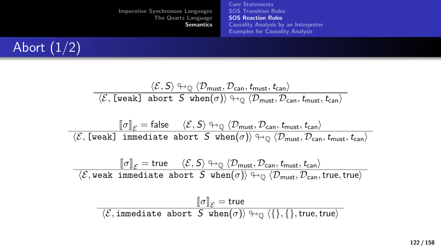[Imperative Synchronous Languages](#page-2-0) [The Quartz Language](#page-15-0) **[Semantics](#page-73-0)** [Core Statements](#page-73-0) [SOS Transition Rules](#page-84-0) [SOS Reaction Rules](#page-103-0) [Causality Analysis by an Interpreter](#page-125-0) [Examples for Causality Analysis](#page-134-0)



$$
\frac{\langle \mathcal{E}, S \rangle \leftrightarrow_{\mathbb{Q}} \langle \mathcal{D}_{\text{must}}, \mathcal{D}_{\text{can}}, t_{\text{must}}, t_{\text{can}} \rangle}{\langle \mathcal{E}, \text{ [weak] abort } S \text{ when}(\sigma) \rangle \leftrightarrow_{\mathbb{Q}} \langle \mathcal{D}_{\text{must}}, \mathcal{D}_{\text{can}}, t_{\text{must}}, t_{\text{can}} \rangle}
$$
  

$$
\|\sigma\|_{\mathcal{E}} = \text{false} \quad \langle \mathcal{E}, S \rangle \leftrightarrow_{\mathbb{Q}} \langle \mathcal{D}_{\text{must}}, \mathcal{D}_{\text{can}}, t_{\text{must}}, t_{\text{can}} \rangle
$$

 $\lbrack\!\lbrack\sigma\rbrack\!\rbrack_\mathcal{E}=\mathsf{false}~~\langle\mathcal{E},\mathsf{S}\rangle\looparrowright_\mathbb{Q}\langle\mathcal{D}_\mathsf{must},\mathcal{D}_\mathsf{can},\mathit{t_\mathsf{must}},\mathit{t_\mathsf{can}}\rangle\ \langle\mathcal{E},\lbrack\mathsf{weak}\rbrack\;\mathsf{immediate}\;\mathsf{abort}\;\mathcal{S}\;\mathsf{when}(\sigma)\rangle\looparrowright_\mathbb{Q}\langle\mathcal{D}_\mathsf{must},\mathcal{D}_\mathsf{can},\mathit{t_\mathsf{must}},\mathit{t_\mathsf{can}}\rangle$ 

$$
\frac{\llbracket \sigma \rrbracket_{\mathcal{E}} = \text{true} \quad \langle \mathcal{E}, \mathsf{S} \rangle \looparrowright \mathbb{Q} \langle \mathcal{D}_{\text{must}}, \mathcal{D}_{\text{can}}, \mathit{t}_\text{must}, \mathit{t}_\text{can} \rangle}{\langle \mathcal{E}, \text{weak immediate abort } \mathsf{S} \text{ when}(\sigma) \rangle \looparrowright \mathbb{Q} \langle \mathcal{D}_{\text{must}}, \mathcal{D}_{\text{can}}, \text{true}, \text{true} \rangle}
$$

$$
\frac{\llbracket \sigma \rrbracket_{\mathcal{E}} = \mathsf{true}}{\langle \mathcal{E}, \mathsf{immediate~abort~} S~\mathtt{when}(\sigma) \rangle \looparrowright \mathbb{Q}~\langle \{\}, \{\}, \mathsf{true}, \mathsf{true} \rangle}
$$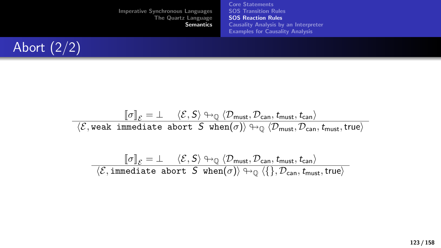[Core Statements](#page-73-0) [SOS Transition Rules](#page-84-0) [SOS Reaction Rules](#page-103-0) [Causality Analysis by an Interpreter](#page-125-0) [Examples for Causality Analysis](#page-134-0)



$$
\frac{\llbracket \sigma \rrbracket_{\mathcal{E}} = \bot \quad \langle \mathcal{E}, \mathsf{S} \rangle \looparrowright \mathbb{Q} \langle \mathcal{D}_{\mathsf{must}}, \mathcal{D}_{\mathsf{can}}, \mathit{t}_{\mathsf{must}}, \mathit{t}_{\mathsf{can}} \rangle}{\langle \mathcal{E}, \text{weak immediate abort } \mathsf{S} \text{ when}(\sigma) \rangle \looparrowright \mathbb{Q} \langle \mathcal{D}_{\mathsf{must}}, \mathcal{D}_{\mathsf{can}}, \mathit{t}_{\mathsf{must}}, \mathsf{true} \rangle}
$$

$$
\frac{\llbracket \sigma \rrbracket_{\mathcal{E}} = \bot \quad \langle \mathcal{E}, \mathsf{S} \rangle \looparrowright \mathbb{Q} \langle \mathcal{D}_{\text{must}}, \mathcal{D}_{\text{can}}, \mathit{t}_{\text{must}}, \mathit{t}_{\text{can}} \rangle}{\langle \mathcal{E}, \text{immediate abort } \mathsf{S} \text{ when}(\sigma) \rangle \looparrowright \mathbb{Q} \langle \{\}, \mathcal{D}_{\text{can}}, \mathit{t}_{\text{must}}, \text{true} \rangle}
$$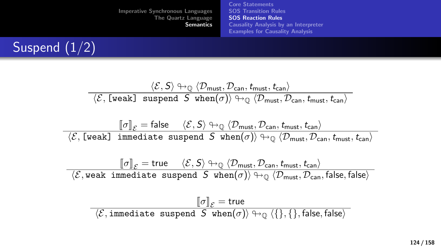[Imperative Synchronous Languages](#page-2-0) [The Quartz Language](#page-15-0) **[Semantics](#page-73-0)** [Core Statements](#page-73-0) [SOS Transition Rules](#page-84-0) [SOS Reaction Rules](#page-103-0) [Causality Analysis by an Interpreter](#page-125-0) [Examples for Causality Analysis](#page-134-0)



$$
\frac{\langle \mathcal{E}, S \rangle \looparrowright_{\mathbb{Q}} \langle \mathcal{D}_{\text{must}}, \mathcal{D}_{\text{can}}, t_{\text{must}}, t_{\text{can}} \rangle}{\langle \mathcal{E}, [\text{weak}] \text{ suspend } S \text{ when}(\sigma) \rangle \looparrowright_{\mathbb{Q}} \langle \mathcal{D}_{\text{must}}, \mathcal{D}_{\text{can}}, t_{\text{must}}, t_{\text{can}} \rangle}
$$

$$
\frac{\llbracket \sigma \rrbracket_{\mathcal{E}} = \mathsf{false} \quad \langle \mathcal{E}, \mathsf{S} \rangle \looparrowright \mathbb{Q} \langle \mathcal{D}_{\mathsf{must}}, \mathcal{D}_{\mathsf{can}}, \mathsf{t}_{\mathsf{must}}, \mathsf{t}_{\mathsf{can}} \rangle}{\langle \mathcal{E}, \llbracket \mathsf{weak} \rrbracket \mathsf{ immediate\; suspend} \mathsf{S\; when}(\sigma) \rangle \looparrowright \mathbb{Q} \langle \mathcal{D}_{\mathsf{must}}, \mathcal{D}_{\mathsf{can}}, \mathsf{t}_{\mathsf{must}}, \mathsf{t}_{\mathsf{can}} \rangle}
$$

$$
\dfrac{[\![\sigma]\!]_{\mathcal{E}} = \mathsf{true} \quad \ \langle \mathcal{E}, \mathsf{S} \rangle \looparrowright \langle \mathcal{D}_{\mathsf{must}}, \mathcal{D}_{\mathsf{can}}, \mathsf{t}_{\mathsf{must}}, \mathsf{t}_{\mathsf{can}} \rangle}{\langle \mathcal{E}, \mathsf{weak\ immediate\ suspend\ S\ when}(\sigma) \rangle \looparrowright \langle \mathcal{D}_{\mathsf{must}}, \mathcal{D}_{\mathsf{can}}, \mathsf{false}, \mathsf{false} \rangle}
$$

$$
\frac{\llbracket \sigma \rrbracket_{\mathcal{E}} = \mathsf{true}}{\langle \mathcal{E}, \mathsf{immediate\,\,suspend\,\,} \mathcal{S} \text{ when}(\sigma) \rangle \looparrowright \mathbb{Q} \langle \{\}, \{\}, \mathsf{false}, \mathsf{false} \rangle}
$$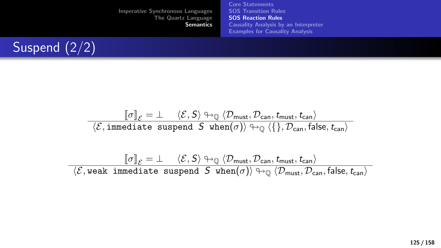[Core Statements](#page-73-0) [SOS Transition Rules](#page-84-0) [SOS Reaction Rules](#page-103-0) [Causality Analysis by an Interpreter](#page-125-0) [Examples for Causality Analysis](#page-134-0)



$$
\frac{\llbracket \sigma \rrbracket_{\mathcal{E}} = \bot \quad \langle \mathcal{E}, \mathsf{S} \rangle \looparrowright \mathbb{Q} \langle \mathcal{D}_{\mathsf{must}}, \mathcal{D}_{\mathsf{can}}, \mathit{t}_{\mathsf{must}}, \mathit{t}_{\mathsf{can}} \rangle}{\langle \mathcal{E}, \texttt{immediate suspend } \mathsf{S when}(\sigma) \rangle \looparrowright \mathbb{Q} \langle \{\}, \mathcal{D}_{\mathsf{can}}, \mathsf{false}, \mathit{t}_{\mathsf{can}} \rangle}
$$

$$
\frac{\llbracket \sigma \rrbracket_{\mathcal{E}} = \bot \quad \langle \mathcal{E}, \mathsf{S} \rangle \looparrowright \mathbb{Q} \langle \mathcal{D}_{\text{must}}, \mathcal{D}_{\text{can}}, \mathit{t}_{\text{must}}, \mathit{t}_{\text{can}} \rangle}{\langle \mathcal{E}, \text{weak immediate suspend } \mathsf{S} \text{ when}(\sigma) \rangle \looparrowright \mathbb{Q} \langle \mathcal{D}_{\text{must}}, \mathcal{D}_{\text{can}}, \text{false}, \mathit{t}_{\text{can}} \rangle}
$$

125 / 158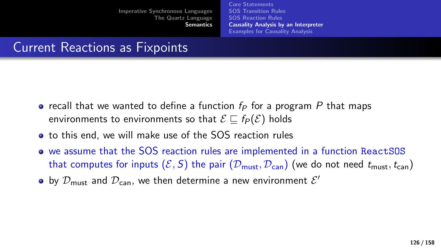[Core Statements](#page-73-0) [SOS Transition Rules](#page-84-0) [SOS Reaction Rules](#page-103-0) [Causality Analysis by an Interpreter](#page-125-0) [Examples for Causality Analysis](#page-134-0)

## <span id="page-125-0"></span>Current Reactions as Fixpoints

- recall that we wanted to define a function  $f_P$  for a program P that maps environments to environments so that  $\mathcal{E} \sqsubset f_P(\mathcal{E})$  holds
- to this end, we will make use of the SOS reaction rules
- we assume that the SOS reaction rules are implemented in a function ReactSOS that computes for inputs  $(\mathcal{E}, S)$  the pair  $(\mathcal{D}_{\text{must}}, \mathcal{D}_{\text{can}})$  (we do not need  $t_{\text{must}}, t_{\text{can}}$ )
- by  $\mathcal{D}_{\mathsf{must}}$  and  $\mathcal{D}_{\mathsf{can}}$ , we then determine a new environment  $\mathcal{E}'$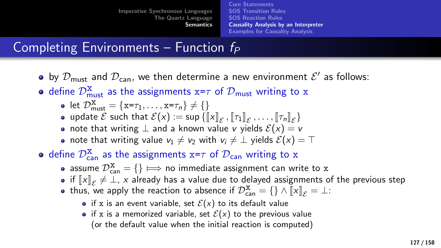[Core Statements](#page-73-0) [SOS Transition Rules](#page-84-0) [SOS Reaction Rules](#page-103-0) [Causality Analysis by an Interpreter](#page-125-0) [Examples for Causality Analysis](#page-134-0)

# Completing Environments – Function  $f_P$

- by  $\mathcal{D}_{\mathsf{must}}$  and  $\mathcal{D}_{\mathsf{can}}$ , we then determine a new environment  $\mathcal{E}'$  as follows:
- define  $\mathcal{D}^{\mathbf{X}}_{\text{must}}$  as the assignments  $\mathbf{x}$ = $\tau$  of  $\mathcal{D}_{\text{must}}$  writing to  $\mathbf{x}$ 
	- let  $\mathcal{D}_{\text{must}}^{\mathbf{X}} = \{\mathbf{x} = \tau_1, \dots, \mathbf{x} = \tau_n\} \neq \{\}$
	- update  $\mathcal E$  such that  $\mathcal E(x) := \sup \{ [x]_{\mathcal E}, [T_1]_{\mathcal E}, \ldots, [T_n]_{\mathcal E} \}$
	- note that writing  $\perp$  and a known value v yields  $\mathcal{E}(x) = v$
	- note that writing value  $v_1 \neq v_2$  with  $v_i \neq \perp$  yields  $\mathcal{E}(x) = \top$
- define  $\mathcal{D}^{\mathbf{x}}_{\mathsf{can}}$  as the assignments  $\mathbf{x}\texttt{=}\tau$  of  $\mathcal{D}_{\mathsf{can}}$  writing to  $\mathbf{x}$ 
	- assume  $\mathcal{D}_{\text{can}}^{\text{X}} = \{\}\Longrightarrow$  no immediate assignment can write to x<br>if  $\llbracket x \rrbracket = \bot$  x already has a value due to delayed assignments of
	- if  $\llbracket x \rrbracket_{\mathcal{E}} \neq \bot$ , x already has a value due to delayed assignments of the previous step<br>thus, we annly the reaction to absence if  $\mathcal{D}^{\mathbf{X}} = \{\} \wedge \llbracket x \rrbracket = \bot$
	- thus, we apply the reaction to absence if  $\mathcal{D}_{\text{can}}^{\mathbf{x}} = \{\}\wedge \llbracket x \rrbracket_{\mathcal{E}} = \bot$ :
		- if x is an event variable, set  $\mathcal{E}(x)$  to its default value
		- if x is a memorized variable, set  $\mathcal{E}(x)$  to the previous value (or the default value when the initial reaction is computed)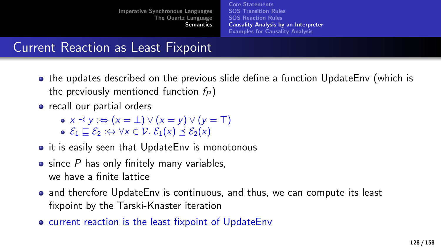[Core Statements](#page-73-0) [SOS Transition Rules](#page-84-0) [SOS Reaction Rules](#page-103-0) [Causality Analysis by an Interpreter](#page-125-0) [Examples for Causality Analysis](#page-134-0)

# Current Reaction as Least Fixpoint

- the updates described on the previous slide define a function UpdateEnv (which is the previously mentioned function  $f_P$ )
- recall our partial orders
	- $\bullet x \prec y : \Leftrightarrow (x = \bot) \vee (x = y) \vee (y = \top)$  $\mathcal{E}_1 \sqsubset \mathcal{E}_2 : \Leftrightarrow \forall x \in \mathcal{V}$ .  $\mathcal{E}_1(x) \prec \mathcal{E}_2(x)$
- it is easily seen that UpdateEnv is monotonous
- $\bullet$  since P has only finitely many variables, we have a finite lattice
- and therefore UpdateEnv is continuous, and thus, we can compute its least fixpoint by the Tarski-Knaster iteration
- **o** current reaction is the least fixpoint of UpdateEnv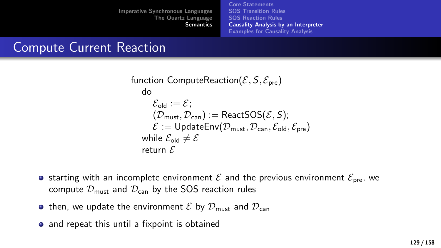[Core Statements](#page-73-0) [SOS Transition Rules](#page-84-0) [SOS Reaction Rules](#page-103-0) [Causality Analysis by an Interpreter](#page-125-0) [Examples for Causality Analysis](#page-134-0)

## Compute Current Reaction

```
function ComputeReaction(\mathcal{E}, \mathcal{S}, \mathcal{E}_{pre})
       do
              \mathcal{E}_{\text{old}} := \mathcal{E}:
               (\mathcal{D}_{\text{must}}, \mathcal{D}_{\text{can}}) := \text{ReactSOS}(\mathcal{E}, S);\mathcal{E} := \mathsf{UpdateEnv}(\mathcal{D}_{\text{must}}, \mathcal{D}_{\text{can}}, \mathcal{E}_{\text{old}}, \mathcal{E}_{\text{pre}})while \mathcal{E}_{\text{old}} \neq \mathcal{E}return \mathcal E
```
- **•** starting with an incomplete environment  $\mathcal{E}$  and the previous environment  $\mathcal{E}_{pre}$ , we compute  $\mathcal{D}_{\text{must}}$  and  $\mathcal{D}_{\text{can}}$  by the SOS reaction rules
- then, we update the environment  $\mathcal E$  by  $\mathcal D_{\text{must}}$  and  $\mathcal D_{\text{can}}$
- and repeat this until a fixpoint is obtained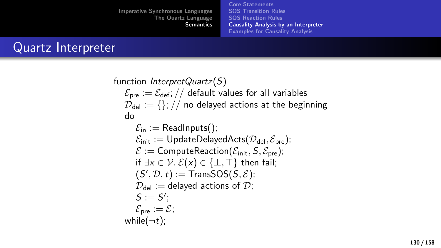[Core Statements](#page-73-0) [SOS Transition Rules](#page-84-0) [SOS Reaction Rules](#page-103-0) [Causality Analysis by an Interpreter](#page-125-0) [Examples for Causality Analysis](#page-134-0)

### Quartz Interpreter

function *InterpretQuartz(S)*  $\mathcal{E}_{pre} := \mathcal{E}_{def}$ ; // default values for all variables  $\mathcal{D}_{\text{del}} := \{\}\;/\;$  no delayed actions at the beginning do  $\mathcal{E}_{\text{in}} :=$  ReadInputs();  $\mathcal{E}_{init} := \text{UpdateDelayedActs}(\mathcal{D}_{del}, \mathcal{E}_{pre});$  $\mathcal{E}$  := ComputeReaction( $\mathcal{E}_{init}$ , S,  $\mathcal{E}_{pre}$ ); if  $\exists x \in \mathcal{V}$ .  $\mathcal{E}(x) \in \{\perp, \top\}$  then fail;  $(S', \mathcal{D}, t) :=$ TransSOS $(S, \mathcal{E})$ ;  $\mathcal{D}_{\text{del}} :=$  delayed actions of  $\mathcal{D}$ ;  $S := S'$ ;  $\mathcal{E}_{pre} := \mathcal{E}$ ; while( $\neg t$ );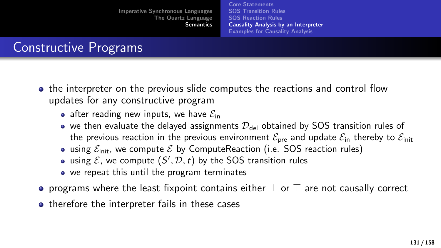[Core Statements](#page-73-0) [SOS Transition Rules](#page-84-0) [SOS Reaction Rules](#page-103-0) [Causality Analysis by an Interpreter](#page-125-0) [Examples for Causality Analysis](#page-134-0)

# Constructive Programs

- the interpreter on the previous slide computes the reactions and control flow updates for any constructive program
	- after reading new inputs, we have  $\mathcal{E}_{in}$
	- we then evaluate the delayed assignments  $\mathcal{D}_{\text{del}}$  obtained by SOS transition rules of the previous reaction in the previous environment  $\mathcal{E}_{pre}$  and update  $\mathcal{E}_{in}$  thereby to  $\mathcal{E}_{init}$
	- using  $\mathcal{E}_{init}$ , we compute  $\mathcal{E}$  by ComputeReaction (i.e. SOS reaction rules)
	- using  $\mathcal{E}$ , we compute  $(S', \mathcal{D}, t)$  by the SOS transition rules
	- we repeat this until the program terminates
- programs where the least fixpoint contains either  $\perp$  or  $\top$  are not causally correct
- therefore the interpreter fails in these cases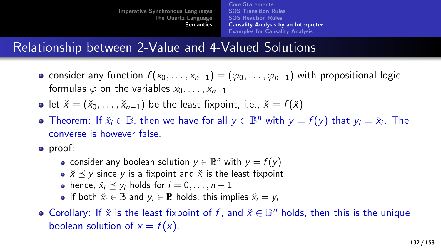[Core Statements](#page-73-0) [SOS Transition Rules](#page-84-0) [SOS Reaction Rules](#page-103-0) [Causality Analysis by an Interpreter](#page-125-0) [Examples for Causality Analysis](#page-134-0)

## Relationship between 2-Value and 4-Valued Solutions

- consider any function  $f(x_0, \ldots, x_{n-1}) = (\varphi_0, \ldots, \varphi_{n-1})$  with propositional logic formulas  $\varphi$  on the variables  $x_0, \ldots, x_{n-1}$
- let  $\check{x} = (\check{x}_0, \ldots, \check{x}_{n-1})$  be the least fixpoint, i.e.,  $\check{x} = f(\check{x})$
- Theorem: If  $\check{x}_i \in \mathbb{B}$ , then we have for all  $y \in \mathbb{B}^n$  with  $y = f(y)$  that  $y_i = \check{x}_i$ . The converse is however false.
- proof:
	- consider any boolean solution  $y \in \mathbb{B}^n$  with  $y = f(y)$
	- $\check{x} \prec y$  since y is a fixpoint and  $\check{x}$  is the least fixpoint
	- hence,  $\check{x}_i \prec y_i$  holds for  $i = 0, \ldots, n 1$
	- if both  $\check{x}_i \in \mathbb{B}$  and  $y_i \in \mathbb{B}$  holds, this implies  $\check{x}_i = y_i$
- Corollary: If  $\check{x}$  is the least fixpoint of f, and  $\check{x} \in \mathbb{B}^n$  holds, then this is the unique boolean solution of  $x = f(x)$ .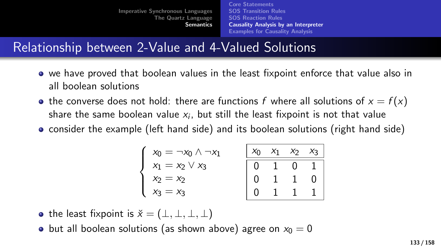[Core Statements](#page-73-0) [SOS Transition Rules](#page-84-0) [SOS Reaction Rules](#page-103-0) [Causality Analysis by an Interpreter](#page-125-0) [Examples for Causality Analysis](#page-134-0)

## Relationship between 2-Value and 4-Valued Solutions

- we have proved that boolean values in the least fixpoint enforce that value also in all boolean solutions
- the converse does not hold: there are functions f where all solutions of  $x = f(x)$ share the same boolean value  $\mathsf{x}_i$ , but still the least fixpoint is not that value
- consider the example (left hand side) and its boolean solutions (right hand side)

$$
\left\{\n\begin{array}{l}\nx_0 = \neg x_0 \land \neg x_1 \\
x_1 = x_2 \lor x_3 \\
x_2 = x_2 \\
x_3 = x_3\n\end{array}\n\right.\n\quad\n\left.\n\begin{array}{l}\n\boxed{x_0 \quad x_1 \quad x_2 \quad x_3} \\
\hline\n0 \quad 1 \quad 0 \quad 1 \\
0 \quad 1 \quad 1 \quad 0 \\
0 \quad 1 \quad 1 \quad 1\n\end{array}\n\right.
$$

- the least fixpoint is  $\check{x} = (\perp, \perp, \perp, \perp)$
- but all boolean solutions (as shown above) agree on  $x_0 = 0$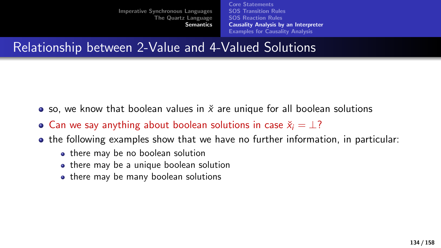[Core Statements](#page-73-0) [SOS Transition Rules](#page-84-0) [SOS Reaction Rules](#page-103-0) [Causality Analysis by an Interpreter](#page-125-0) [Examples for Causality Analysis](#page-134-0)

Relationship between 2-Value and 4-Valued Solutions

- so, we know that boolean values in  $\check{x}$  are unique for all boolean solutions
- Can we say anything about boolean solutions in case  $\check{x}_i = \perp$ ?
- $\bullet$  the following examples show that we have no further information, in particular:
	- there may be no boolean solution
	- there may be a unique boolean solution
	- there may be many boolean solutions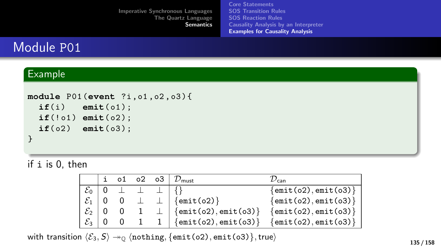[Imperative Synchronous Languages](#page-2-0) [The Quartz Language](#page-15-0) **[Semantics](#page-73-0)** [Core Statements](#page-73-0) [SOS Transition Rules](#page-84-0) [SOS Reaction Rules](#page-103-0) [Causality Analysis by an Interpreter](#page-125-0) [Examples for Causality Analysis](#page-134-0)

## <span id="page-134-0"></span>Module P01

#### Example

```
module P01 (event ?i , o1 , o2 , o3 ) {
  if(i) emit(o1);
  if(!o1) emit(o2);
  if(o2) emit(o3);
}
```
if i is 0, then

|                   |                     |  | i o1 o2 o3 $D_{\text{must}}$                       | $\sqrt{2}$ can                          |
|-------------------|---------------------|--|----------------------------------------------------|-----------------------------------------|
| $\mathcal{E}_0$   |                     |  |                                                    | $\{\text{emit}(o2), \text{emit}(o3)\}\$ |
|                   |                     |  | $\mathcal{E}_1$   0 0 $\perp$ $\perp$   {emit(02)} | $\{\text{emit}(o2), \text{emit}(o3)\}\$ |
|                   | $\mathcal{E}_2$ 0 0 |  | 1 $\perp$ {emit(o2), emit(o3)}                     | $\{\text{emit}(o2), \text{emit}(o3)\}\$ |
| $\mathcal{E}_3$ 0 | 0                   |  | 1 1 $\{$ emit(o2), emit(o3) \}                     | $\{\text{emit}(o2), \text{emit}(o3)\}\$ |

with transition  $\langle \mathcal{E}_3, \mathcal{S} \rangle \rightarrow_0 \langle \text{nothing}, \{\text{emit}(o2), \text{emit}(o3)\}, \text{true} \rangle$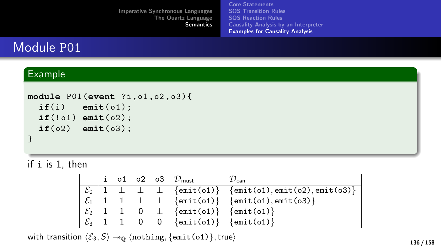[Imperative Synchronous Languages](#page-2-0) [The Quartz Language](#page-15-0) **[Semantics](#page-73-0)** [Core Statements](#page-73-0) [SOS Transition Rules](#page-84-0) [SOS Reaction Rules](#page-103-0) [Causality Analysis by an Interpreter](#page-125-0) [Examples for Causality Analysis](#page-134-0)

## Module P01

#### Example

```
module P01 (event ?i , o1 , o2 , o3 ) {
  if(i) emit(o1);if(!o1) emit(o2);
  if(o2) emit(o3);
}
```
if i is 1, then

|  |  | i o1 o2 o3 $D_{\text{must}}$                            | $\nu_{\rm can}$                                                                 |
|--|--|---------------------------------------------------------|---------------------------------------------------------------------------------|
|  |  |                                                         | $\mathcal{E}_0$   1 $\perp$ $\perp$   {emit(o1)} {emit(o1), emit(o2), emit(o3)} |
|  |  |                                                         | $\mathcal{E}_1$   1 1 $\perp$   {emit(o1)} {emit(o1), emit(o3)}                 |
|  |  | $\mathcal{E}_2$   1 1 0 $\perp$   {emit(o1)} {emit(o1)} |                                                                                 |
|  |  | $\mathcal{E}_3$   1 1 0 0   {emit(o1)} {emit(o1)}       |                                                                                 |

with transition  $\langle \mathcal{E}_3, \mathcal{S} \rangle \rightarrow \mathcal{O}$  (nothing, {emit(o1)}, true)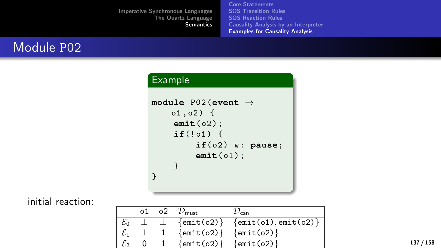[Core Statements](#page-73-0) [SOS Transition Rules](#page-84-0) [SOS Reaction Rules](#page-103-0) [Causality Analysis by an Interpreter](#page-125-0) [Examples for Causality Analysis](#page-134-0)

## Module P02

### Example

```
module P02 (event →
    01,02) {
    emit( o2 ) ;
    if('01) {
         if( o2 ) w : pause;
         emit( o1 ) ;
    }
}
```
#### initial reaction:

|                                    |  | 02   $\mathcal{D}_{\mathsf{must}}$ | 'can                                    |
|------------------------------------|--|------------------------------------|-----------------------------------------|
|                                    |  | $\perp$ $\{$ emit(o2) $\}$         | $\{\text{emit}(o1), \text{emit}(o2)\}\$ |
| $\mathcal{E}_0$<br>$\mathcal{E}_1$ |  | $\frac{1}{2}$ {emit(o2)}           | $\{$ emit(o2) $\}$                      |
| $\mathcal{E}_2$                    |  | $\{\text{emit}(o2)\}\$             | $\{$ emit(o2) $\}$                      |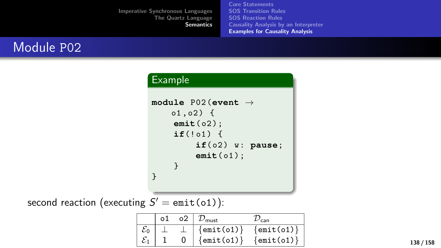[Core Statements](#page-73-0) [SOS Transition Rules](#page-84-0) [SOS Reaction Rules](#page-103-0) [Causality Analysis by an Interpreter](#page-125-0) [Examples for Causality Analysis](#page-134-0)

## Module P02

### Example

```
module P02 (event →
    01, 02) {
    emit( o2 ) ;
    if('01) {
         if( o2 ) w : pause;
         emit( o1 ) ;
    }
}
```
second reaction (executing  $S' = \texttt{emit}(o1))$ :

|  | о2 | $D_{\mathsf{must}}$    | can                |
|--|----|------------------------|--------------------|
|  |    | $\{$ emit $($ o $1)$ } | $\{$ emit(o1) $\}$ |
|  |    | $\{\text{emit}(o1)\}\$ | $\{$ emit(o1) $\}$ |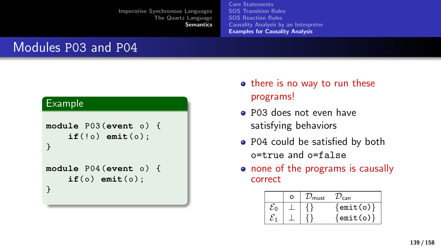[Core Statements](#page-73-0) [SOS Transition Rules](#page-84-0) [SOS Reaction Rules](#page-103-0) [Causality Analysis by an Interpreter](#page-125-0) [Examples for Causality Analysis](#page-134-0)

## Modules P03 and P04

```
module P03 (event o) {
    if('o) emit(o);
}
module P04 (event o) {
    if(0) emit(0);
}
```
- there is no way to run these programs!
- P03 does not even have satisfying behaviors
- P04 could be satisfied by both o=true and o=false
- none of the programs is causally correct

| n | must | ran                    |
|---|------|------------------------|
|   |      | $\{\texttt{emit}(o)\}$ |
|   |      | $\{$ emit(o) $\}$      |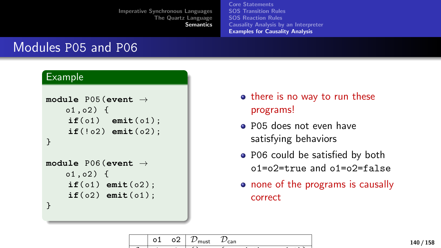[Core Statements](#page-73-0) [SOS Transition Rules](#page-84-0) [SOS Reaction Rules](#page-103-0) [Causality Analysis by an Interpreter](#page-125-0) [Examples for Causality Analysis](#page-134-0)

## Modules P05 and P06

```
module P05 (event →
   01, 02) {
    if(o1) emit(o1);
    if(!02) emit(02);
}
module P06 (event →
   01, 02) {
    if(o1) emit(o2);
    if(o2) emit(o1);
}
```
- there is no way to run these programs!
- P05 does not even have satisfying behaviors
- P06 could be satisfied by both o1=o2=true and o1=o2=false
- none of the programs is causally correct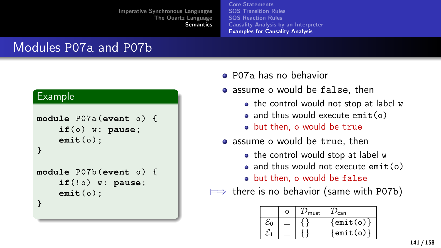[Core Statements](#page-73-0) [SOS Transition Rules](#page-84-0) [SOS Reaction Rules](#page-103-0) [Causality Analysis by an Interpreter](#page-125-0) [Examples for Causality Analysis](#page-134-0)

## Modules P07a and P07b

#### P07a has no behavior

- assume o would be false, then
	- the control would not stop at label w
	- and thus would execute  $emit(o)$
	- but then, o would be true
- assume o would be true, then
	- the control would stop at label w
	- $\bullet$  and thus would not execute  $\epsilon$  emit(o)
	- but then, o would be false

 $\implies$  there is no behavior (same with P07b)

|    | о | must | can               |
|----|---|------|-------------------|
| δ٥ |   |      | $\{$ emit $(o)$ } |
|    |   |      | $\{$ emit(o) $\}$ |

```
module P07a (event o) {
    if(0) w: pause;emit( o ) ;
}
module P07b (event o) {
    if(!o) w: pause;
    emit( o ) ;
}
```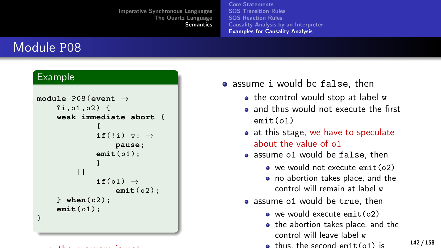[Core Statements](#page-73-0) [SOS Transition Rules](#page-84-0) [SOS Reaction Rules](#page-103-0) [Causality Analysis by an Interpreter](#page-125-0) [Examples for Causality Analysis](#page-134-0)

## Module P08

#### Example

```
module P08 (event →
     ?i, o1, o2) {
     weak immediate abort {
                {
               if(!i) w: \rightarrowpause;
               emit( o1 );
                }
          ||if(01) \rightarrowemit( o2 );
     } when( o2 );
     emit( o1 );
}
```
the program is not program in the program in

- assume i would be false, then
	- the control would stop at label w
	- a and thus would not execute the first  $emit(o1)$
	- at this stage, we have to speculate about the value of o1
	- assume o1 would be false, then
		- we would not execute emit(o2)
		- no abortion takes place, and the control will remain at label w
	- assume o1 would be true, then
		- we would execute emit(o2)
		- the abortion takes place, and the control will leave label w
		- $\bullet$  thus, the second emit(o1) is

142 / 158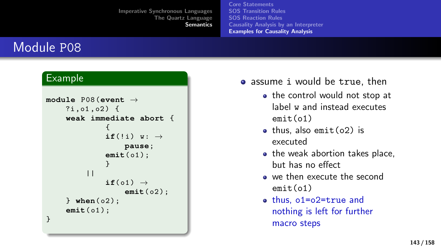[Core Statements](#page-73-0) [SOS Transition Rules](#page-84-0) [SOS Reaction Rules](#page-103-0) [Causality Analysis by an Interpreter](#page-125-0) [Examples for Causality Analysis](#page-134-0)

## Module P08

```
module P08 (event →
     ?i, o1, o2) {
     weak immediate abort {
                {
               if(!i) w: \rightarrowpause;
               emit( o1 );
                }
          ||if(01) \rightarrowemit( o2 );
     } when( o2 );
     emit( o1 );
}
```
- assume i would be true, then
	- the control would not stop at label w and instead executes emit(o1)
	- $\bullet$  thus, also emit( $o2$ ) is executed
	- the weak abortion takes place, but has no effect
	- we then execute the second emit(o1)
	- thus, o1=o2=true and nothing is left for further macro steps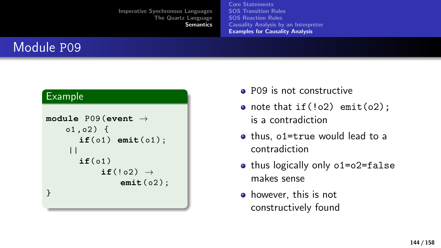[Core Statements](#page-73-0) [SOS Transition Rules](#page-84-0) [SOS Reaction Rules](#page-103-0) [Causality Analysis by an Interpreter](#page-125-0) [Examples for Causality Analysis](#page-134-0)

## Module P09

```
module P09 (event →
    01, 02) {
       if(01) emit(01);
     ||if(01)if('02) \rightarrowemit( o2 ) ;
}
```
- **P09** is not constructive
- note that if( $!o2$ ) emit( $o2$ ); is a contradiction
- thus, o1=true would lead to a contradiction
- thus logically only o1=o2=false makes sense
- however, this is not constructively found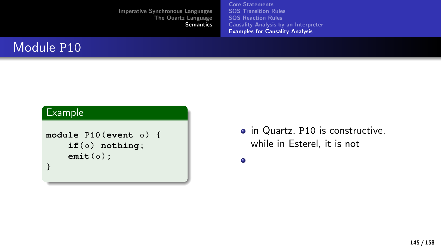[Core Statements](#page-73-0) [SOS Transition Rules](#page-84-0) [SOS Reaction Rules](#page-103-0) [Causality Analysis by an Interpreter](#page-125-0) [Examples for Causality Analysis](#page-134-0)

## Module P<sub>10</sub>

#### Example

```
module P10 (event o) {
    if(o) nothing;
    emit(o);
}
```
• in Quartz, P10 is constructive, while in Esterel, it is not

 $\bullet$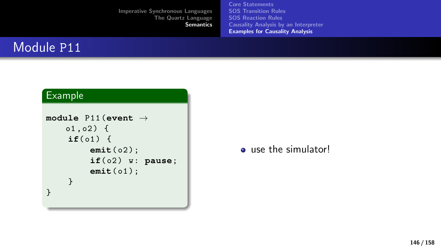[Core Statements](#page-73-0) [SOS Transition Rules](#page-84-0) [SOS Reaction Rules](#page-103-0) [Causality Analysis by an Interpreter](#page-125-0) [Examples for Causality Analysis](#page-134-0)

# Module P11

### Example

```
module P11 (event →
    01, 02) {
    if(01) {
         emit( o2 ) ;
         if( o2 ) w : pause;
         emit( o1 ) ;
    }
}
```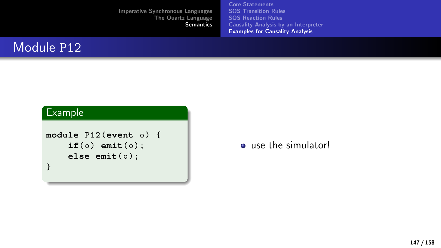[Core Statements](#page-73-0) [SOS Transition Rules](#page-84-0) [SOS Reaction Rules](#page-103-0) [Causality Analysis by an Interpreter](#page-125-0) [Examples for Causality Analysis](#page-134-0)

## Module P<sub>12</sub>

#### Example

```
module P12 (event o) {
    if(o) emit(o);
    else emit(o);
}
```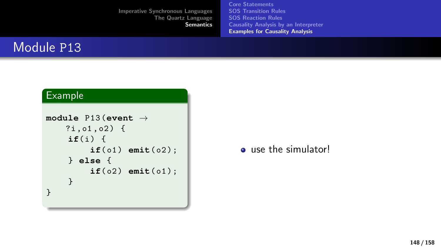[Core Statements](#page-73-0) [SOS Transition Rules](#page-84-0) [SOS Reaction Rules](#page-103-0) [Causality Analysis by an Interpreter](#page-125-0) [Examples for Causality Analysis](#page-134-0)

## Module P13

### Example

```
module P13 (event →
   ?i, o1, o2) {
    if(i) {
        if(o1) emit(o2);
    } else {
        if(o2) emit(o1);
    }
}
```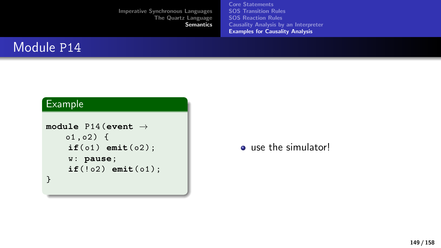[Core Statements](#page-73-0) [SOS Transition Rules](#page-84-0) [SOS Reaction Rules](#page-103-0) [Causality Analysis by an Interpreter](#page-125-0) [Examples for Causality Analysis](#page-134-0)

## Module P14

#### Example

```
module P14 (event →
   01,02) {
    if(01) emit(02);
    w : pause;
    if('02) emit(01);
}
```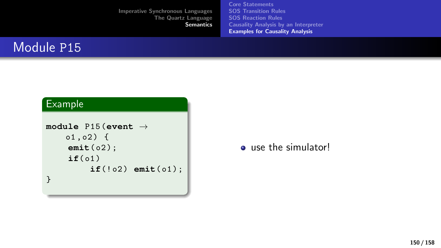[Core Statements](#page-73-0) [SOS Transition Rules](#page-84-0) [SOS Reaction Rules](#page-103-0) [Causality Analysis by an Interpreter](#page-125-0) [Examples for Causality Analysis](#page-134-0)

## Module P15

#### Example

```
module P15 (event →
   01,02) {
    emit( o2 ) ;
    if( o1 )
         if(!02) emit(01);
}
```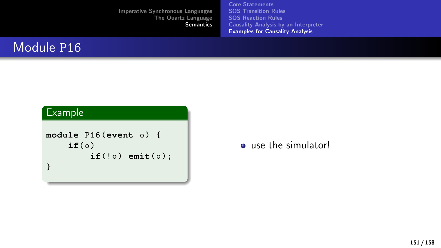[Core Statements](#page-73-0) [SOS Transition Rules](#page-84-0) [SOS Reaction Rules](#page-103-0) [Causality Analysis by an Interpreter](#page-125-0) [Examples for Causality Analysis](#page-134-0)

## Module P<sub>16</sub>

### Example

```
module P16 (event o) {
    if(0)if(!o) emit(o);
}
```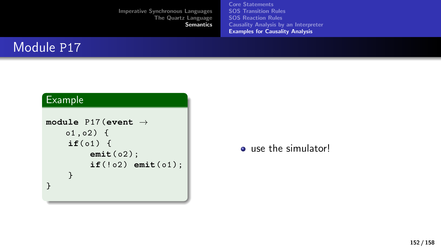[Core Statements](#page-73-0) [SOS Transition Rules](#page-84-0) [SOS Reaction Rules](#page-103-0) [Causality Analysis by an Interpreter](#page-125-0) [Examples for Causality Analysis](#page-134-0)

# Module P17

#### Example

```
module P17 (event →
   01,02) {
    if(01) {
        emit( o2 ) ;
        if(!02) emit(01);
    }
}
```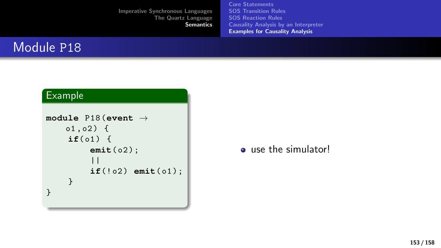[Core Statements](#page-73-0) [SOS Transition Rules](#page-84-0) [SOS Reaction Rules](#page-103-0) [Causality Analysis by an Interpreter](#page-125-0) [Examples for Causality Analysis](#page-134-0)

## Module P18

### Example

```
module P18 (event →
   01, 02) {
    if(01) {
         emit( o2 ) ;
         ||if(!02) emit(01);
    }
}
```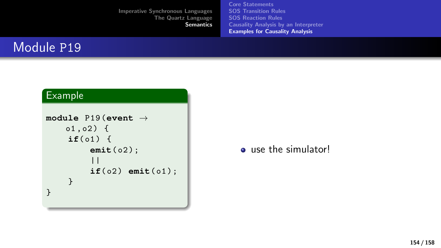[Core Statements](#page-73-0) [SOS Transition Rules](#page-84-0) [SOS Reaction Rules](#page-103-0) [Causality Analysis by an Interpreter](#page-125-0) [Examples for Causality Analysis](#page-134-0)

### Module P19

### Example

```
module P19 (event →
   01, 02) {
    if(01) {
         emit( o2 ) ;
         ||if(o2) emit(o1);
    }
}
```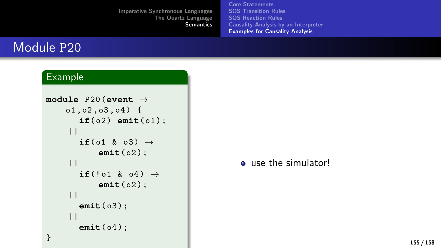[Core Statements](#page-73-0) [SOS Transition Rules](#page-84-0) [SOS Reaction Rules](#page-103-0) [Causality Analysis by an Interpreter](#page-125-0) [Examples for Causality Analysis](#page-134-0)

### Module P20

#### Example

```
module P20 (event →
     01, 02, 03, 04 {
         if(02) emit(01);
      ||if(o1 & o3) \rightarrowemit( o2 ) ;
      ||\texttt{if}(!\texttt{o1} \& \texttt{o4}) \rightarrowemit( o2 ) ;
      ||emit( o3 ) ;
      ||emit( o4 ) ;
}
```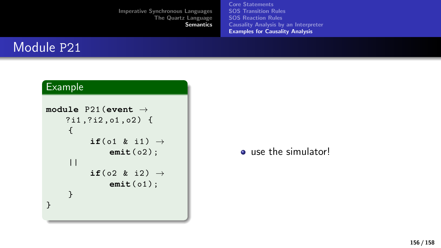[Core Statements](#page-73-0) [SOS Transition Rules](#page-84-0) [SOS Reaction Rules](#page-103-0) [Causality Analysis by an Interpreter](#page-125-0) [Examples for Causality Analysis](#page-134-0)

## Module P21

### Example

```
module P21 (event →
     ? i1 ,? i2 , o1 , o2 ) {
     {
           if(o1 & i1) \rightarrowemit( o2 ) ;
      ||if(o2 & i2) \rightarrowemit( o1 ) ;
     }
}
```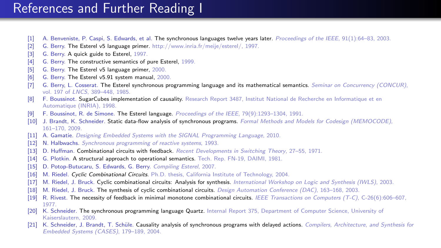### References and Further Reading I

- [1] A. Benveniste, P. Caspi, S. Edwards, et al. The synchronous languages twelve years later. Proceedings of the IEEE, 91(1):64–83, 2003.
- [2] G. Berry. The Esterel v5 language primer. http://www.inria.fr/meije/esterel/, 1997.
- [3] G. Berry. A quick guide to Esterel, 1997.
- [4] G. Berry. The constructive semantics of pure Esterel, 1999.
- [5] G. Berry. The Esterel v5 language primer, 2000.
- [6] G. Berry. The Esterel v5.91 system manual, 2000.
- [7] G. Berry, L. Cosserat. The Esterel synchronous programming language and its mathematical semantics. Seminar on Concurrency (CONCUR), vol. 197 of LNCS, 389–448, 1985.
- [8] F. Boussinot. SugarCubes implementation of causality. Research Report 3487, Institut National de Recherche en Informatique et en Automatique (INRIA), 1998.
- [9] F. Boussinot, R. de Simone. The Esterel language. Proceedings of the IEEE, 79(9):1293–1304, 1991.
- [10] J. Brandt, K. Schneider. Static data-flow analysis of synchronous programs. Formal Methods and Models for Codesign (MEMOCODE), 161–170, 2009.
- [11] A. Gamatie. Designing Embedded Systems with the SIGNAL Programming Language, 2010.
- [12] N. Halbwachs. Synchronous programming of reactive systems, 1993.
- [13] D. Huffman. Combinational circuits with feedback. Recent Developments in Switching Theory, 27–55, 1971.
- [14] G. Plotkin. A structural approach to operational semantics. Tech. Rep. FN-19, DAIMI, 1981.
- [15] D. Potop-Butucaru, S. Edwards, G. Berry. Compiling Esterel, 2007.
- [16] M. Riedel. Cyclic Combinational Circuits. Ph.D. thesis, California Institute of Technology, 2004.
- [17] M. Riedel, J. Bruck. Cyclic combinational circuits: Analysis for synthesis. International Workshop on Logic and Synthesis (IWLS), 2003.
- [18] M. Riedel, J. Bruck. The synthesis of cyclic combinational circuits. Design Automation Conference (DAC), 163–168, 2003.
- [19] R. Rivest. The necessity of feedback in minimal monotone combinational circuits. IEEE Transactions on Computers (T-C), C-26(6):606–607, 1977.
- [20] K. Schneider. The synchronous programming language Quartz. Internal Report 375. Department of Computer Science, University of Kaiserslautern, 2009.
- [21] K. Schneider, J. Brandt, T. Schüle. Causality analysis of synchronous programs with delayed actions. Compilers, Architecture, and Synthesis for Embedded Systems (CASES), 179–189, 2004.